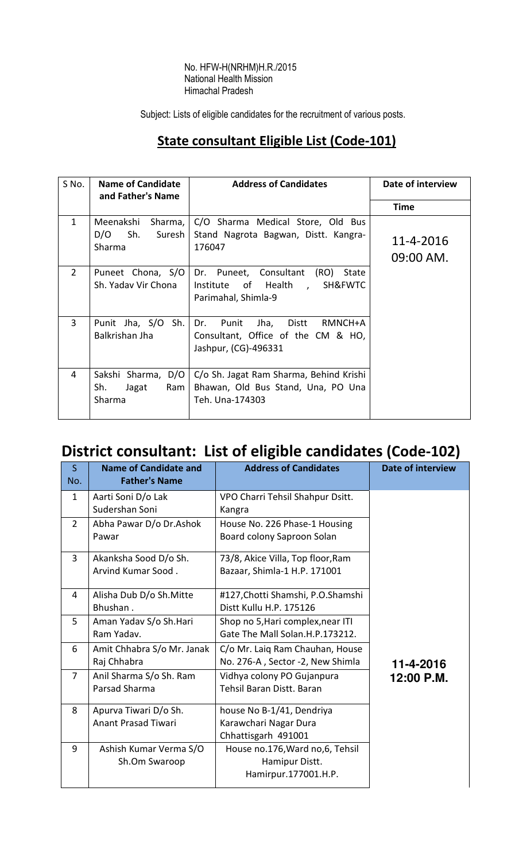#### No. HFW-H(NRHM)H.R./2015 National Health Mission Himachal Pradesh

Subject: Lists of eligible candidates for the recruitment of various posts.

### State consultant Eligible List (Code-101)

| S No.          | <b>Name of Candidate</b><br>and Father's Name           | <b>Address of Candidates</b>                                                                        | Date of interview        |
|----------------|---------------------------------------------------------|-----------------------------------------------------------------------------------------------------|--------------------------|
|                |                                                         |                                                                                                     | Time                     |
| $\mathbf{1}$   | Meenakshi<br>Sharma, I<br>$D/O$ Sh.<br>Suresh<br>Sharma | C/O Sharma Medical Store, Old Bus<br>Stand Nagrota Bagwan, Distt. Kangra-<br>176047                 | 11-4-2016<br>$09:00$ AM. |
| $\overline{2}$ | Puneet Chona, S/O<br>Sh. Yaday Vir Chona                | Dr. Puneet, Consultant<br>(RO)<br>State<br>Institute of Health,<br>SH&FWTC<br>Parimahal, Shimla-9   |                          |
| $\overline{3}$ | Punit Jha, S/O Sh.<br>Balkrishan Jha                    | Dr. Punit<br>Distt<br>RMNCH+A<br>Jha,<br>Consultant, Office of the CM & HO,<br>Jashpur, (CG)-496331 |                          |
| 4              | Sakshi Sharma, D/O<br>Sh.<br>Jagat<br>Ram  <br>Sharma   | C/o Sh. Jagat Ram Sharma, Behind Krishi<br>Bhawan, Old Bus Stand, Una, PO Una<br>Teh. Una-174303    |                          |

# District consultant: List of eligible candidates (Code-102)

| $\mathsf{S}$<br>No. | <b>Name of Candidate and</b><br><b>Father's Name</b> | <b>Address of Candidates</b>       | <b>Date of interview</b> |
|---------------------|------------------------------------------------------|------------------------------------|--------------------------|
| 1                   | Aarti Soni D/o Lak                                   | VPO Charri Tehsil Shahpur Dsitt.   |                          |
|                     | Sudershan Soni                                       | Kangra                             |                          |
| $\overline{2}$      | Abha Pawar D/o Dr.Ashok                              | House No. 226 Phase-1 Housing      |                          |
|                     | Pawar                                                | Board colony Saproon Solan         |                          |
| 3                   | Akanksha Sood D/o Sh.                                | 73/8, Akice Villa, Top floor, Ram  |                          |
|                     | Arvind Kumar Sood.                                   | Bazaar, Shimla-1 H.P. 171001       |                          |
| 4                   | Alisha Dub D/o Sh. Mitte                             | #127, Chotti Shamshi, P.O. Shamshi |                          |
|                     | Bhushan.                                             | Distt Kullu H.P. 175126            |                          |
| 5                   | Aman Yadav S/o Sh.Hari                               | Shop no 5, Hari complex, near ITI  |                          |
|                     | Ram Yadav.                                           | Gate The Mall Solan.H.P.173212.    |                          |
| 6                   | Amit Chhabra S/o Mr. Janak                           | C/o Mr. Laig Ram Chauhan, House    |                          |
|                     | Raj Chhabra                                          | No. 276-A, Sector -2, New Shimla   | 11-4-2016                |
| $\overline{7}$      | Anil Sharma S/o Sh. Ram                              | Vidhya colony PO Gujanpura         | 12:00 P.M.               |
|                     | Parsad Sharma                                        | Tehsil Baran Distt. Baran          |                          |
| 8                   | Apurva Tiwari D/o Sh.                                | house No B-1/41, Dendriya          |                          |
|                     | <b>Anant Prasad Tiwari</b>                           | Karawchari Nagar Dura              |                          |
|                     |                                                      | Chhattisgarh 491001                |                          |
| 9                   | Ashish Kumar Verma S/O                               | House no.176, Ward no, 6, Tehsil   |                          |
|                     | Sh.Om Swaroop                                        | Hamipur Distt.                     |                          |
|                     |                                                      | Hamirpur.177001.H.P.               |                          |
|                     |                                                      |                                    |                          |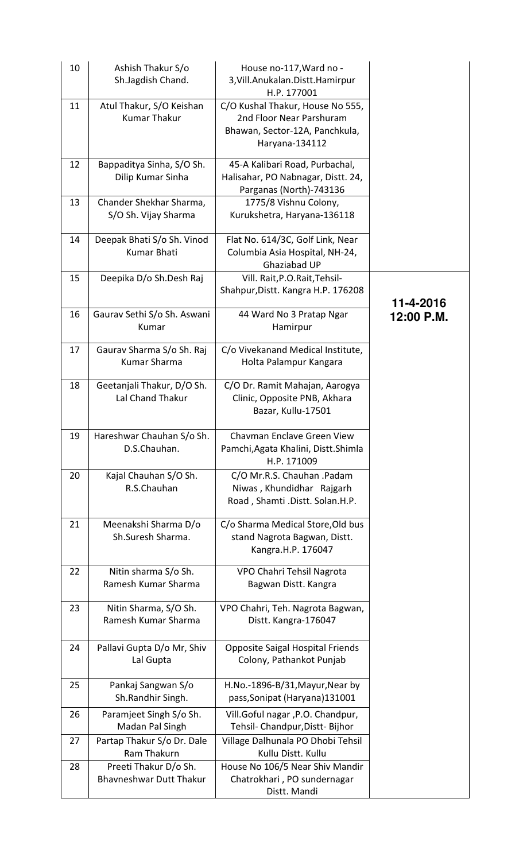| 10 | Ashish Thakur S/o<br>Sh.Jagdish Chand.                  | House no-117, Ward no -<br>3, Vill. Anukalan. Distt. Hamirpur<br>H.P. 177001                                     |            |
|----|---------------------------------------------------------|------------------------------------------------------------------------------------------------------------------|------------|
| 11 | Atul Thakur, S/O Keishan<br><b>Kumar Thakur</b>         | C/O Kushal Thakur, House No 555,<br>2nd Floor Near Parshuram<br>Bhawan, Sector-12A, Panchkula,<br>Haryana-134112 |            |
| 12 | Bappaditya Sinha, S/O Sh.<br>Dilip Kumar Sinha          | 45-A Kalibari Road, Purbachal,<br>Halisahar, PO Nabnagar, Distt. 24,<br>Parganas (North)-743136                  |            |
| 13 | Chander Shekhar Sharma,<br>S/O Sh. Vijay Sharma         | 1775/8 Vishnu Colony,<br>Kurukshetra, Haryana-136118                                                             |            |
| 14 | Deepak Bhati S/o Sh. Vinod<br><b>Kumar Bhati</b>        | Flat No. 614/3C, Golf Link, Near<br>Columbia Asia Hospital, NH-24,<br>Ghaziabad UP                               |            |
| 15 | Deepika D/o Sh.Desh Raj                                 | Vill. Rait, P.O. Rait, Tehsil-<br>Shahpur, Distt. Kangra H.P. 176208                                             | 11-4-2016  |
| 16 | Gaurav Sethi S/o Sh. Aswani<br>Kumar                    | 44 Ward No 3 Pratap Ngar<br>Hamirpur                                                                             | 12:00 P.M. |
| 17 | Gaurav Sharma S/o Sh. Raj<br><b>Kumar Sharma</b>        | C/o Vivekanand Medical Institute,<br>Holta Palampur Kangara                                                      |            |
| 18 | Geetanjali Thakur, D/O Sh.<br>Lal Chand Thakur          | C/O Dr. Ramit Mahajan, Aarogya<br>Clinic, Opposite PNB, Akhara<br>Bazar, Kullu-17501                             |            |
| 19 | Hareshwar Chauhan S/o Sh.<br>D.S.Chauhan.               | Chavman Enclave Green View<br>Pamchi, Agata Khalini, Distt. Shimla<br>H.P. 171009                                |            |
| 20 | Kajal Chauhan S/O Sh.<br>R.S.Chauhan                    | C/O Mr.R.S. Chauhan .Padam<br>Niwas, Khundidhar Rajgarh<br>Road, Shamti.Distt. Solan.H.P.                        |            |
| 21 | Meenakshi Sharma D/o<br>Sh.Suresh Sharma.               | C/o Sharma Medical Store, Old bus<br>stand Nagrota Bagwan, Distt.<br>Kangra.H.P. 176047                          |            |
| 22 | Nitin sharma S/o Sh.<br>Ramesh Kumar Sharma             | VPO Chahri Tehsil Nagrota<br>Bagwan Distt. Kangra                                                                |            |
| 23 | Nitin Sharma, S/O Sh.<br>Ramesh Kumar Sharma            | VPO Chahri, Teh. Nagrota Bagwan,<br>Distt. Kangra-176047                                                         |            |
| 24 | Pallavi Gupta D/o Mr, Shiv<br>Lal Gupta                 | <b>Opposite Saigal Hospital Friends</b><br>Colony, Pathankot Punjab                                              |            |
| 25 | Pankaj Sangwan S/o<br>Sh.Randhir Singh.                 | H.No.-1896-B/31, Mayur, Near by<br>pass, Sonipat (Haryana) 131001                                                |            |
| 26 | Paramjeet Singh S/o Sh.<br>Madan Pal Singh              | Vill.Goful nagar, P.O. Chandpur,<br>Tehsil- Chandpur, Distt- Bijhor                                              |            |
| 27 | Partap Thakur S/o Dr. Dale<br>Ram Thakurn               | Village Dalhunala PO Dhobi Tehsil<br>Kullu Distt. Kullu                                                          |            |
| 28 | Preeti Thakur D/o Sh.<br><b>Bhavneshwar Dutt Thakur</b> | House No 106/5 Near Shiv Mandir<br>Chatrokhari, PO sundernagar<br>Distt. Mandi                                   |            |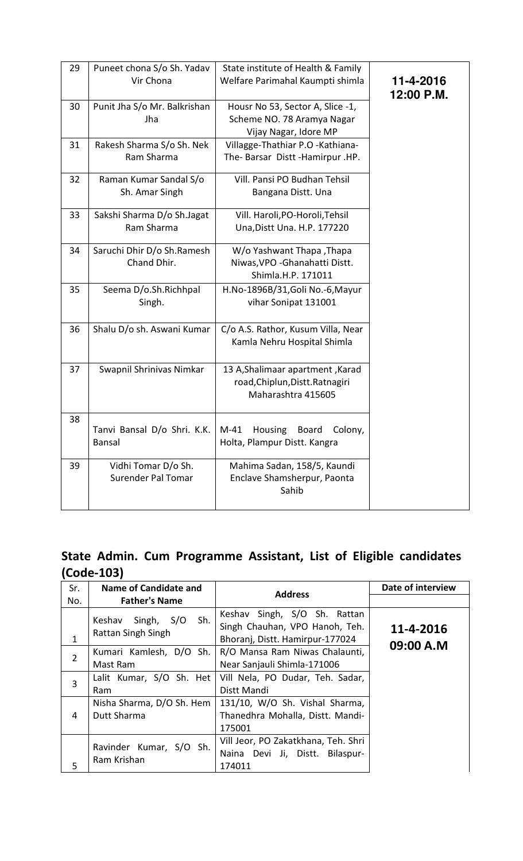| 29 | Puneet chona S/o Sh. Yadav<br>Vir Chona          | State institute of Health & Family<br>Welfare Parimahal Kaumpti shimla                    | 11-4-2016<br>12:00 P.M. |
|----|--------------------------------------------------|-------------------------------------------------------------------------------------------|-------------------------|
| 30 | Punit Jha S/o Mr. Balkrishan<br>Jha              | Housr No 53, Sector A, Slice -1,<br>Scheme NO. 78 Aramya Nagar<br>Vijay Nagar, Idore MP   |                         |
| 31 | Rakesh Sharma S/o Sh. Nek<br>Ram Sharma          | Villagge-Thathiar P.O -Kathiana-<br>The-Barsar Distt-Hamirpur.HP.                         |                         |
| 32 | Raman Kumar Sandal S/o<br>Sh. Amar Singh         | Vill. Pansi PO Budhan Tehsil<br>Bangana Distt. Una                                        |                         |
| 33 | Sakshi Sharma D/o Sh.Jagat<br>Ram Sharma         | Vill. Haroli, PO-Horoli, Tehsil<br>Una, Distt Una. H.P. 177220                            |                         |
| 34 | Saruchi Dhir D/o Sh.Ramesh<br>Chand Dhir.        | W/o Yashwant Thapa, Thapa<br>Niwas, VPO - Ghanahatti Distt.<br>Shimla.H.P. 171011         |                         |
| 35 | Seema D/o.Sh.Richhpal<br>Singh.                  | H.No-1896B/31, Goli No.-6, Mayur<br>vihar Sonipat 131001                                  |                         |
| 36 | Shalu D/o sh. Aswani Kumar                       | C/o A.S. Rathor, Kusum Villa, Near<br>Kamla Nehru Hospital Shimla                         |                         |
| 37 | Swapnil Shrinivas Nimkar                         | 13 A, Shalimaar apartment, Karad<br>road, Chiplun, Distt. Ratnagiri<br>Maharashtra 415605 |                         |
| 38 | Tanvi Bansal D/o Shri. K.K.<br>Bansal            | Housing<br>M-41<br><b>Board</b><br>Colony,<br>Holta, Plampur Distt. Kangra                |                         |
| 39 | Vidhi Tomar D/o Sh.<br><b>Surender Pal Tomar</b> | Mahima Sadan, 158/5, Kaundi<br>Enclave Shamsherpur, Paonta<br>Sahib                       |                         |

### State Admin. Cum Programme Assistant, List of Eligible candidates (Code-103)

| Sr.            | <b>Name of Candidate and</b>                         | <b>Address</b>                                                                                    | Date of interview      |
|----------------|------------------------------------------------------|---------------------------------------------------------------------------------------------------|------------------------|
| No.            | <b>Father's Name</b>                                 |                                                                                                   |                        |
| 1              | Sh.<br>Keshav<br>Singh,<br>S/O<br>Rattan Singh Singh | Keshav Singh, S/O Sh. Rattan<br>Singh Chauhan, VPO Hanoh, Teh.<br>Bhoranj, Distt. Hamirpur-177024 | 11-4-2016<br>09:00 A.M |
| $\overline{2}$ | Kumari Kamlesh, D/O Sh.<br>Mast Ram                  | R/O Mansa Ram Niwas Chalaunti,<br>Near Sanjauli Shimla-171006                                     |                        |
| 3              | Lalit Kumar, S/O Sh. Het<br>Ram                      | Vill Nela, PO Dudar, Teh. Sadar,<br>Distt Mandi                                                   |                        |
| 4              | Nisha Sharma, D/O Sh. Hem<br>Dutt Sharma             | 131/10, W/O Sh. Vishal Sharma,<br>Thanedhra Mohalla, Distt. Mandi-<br>175001                      |                        |
| 5              | Ravinder Kumar, S/O Sh.<br>Ram Krishan               | Vill Jeor, PO Zakatkhana, Teh. Shri<br>Naina Devi Ji, Distt. Bilaspur-<br>174011                  |                        |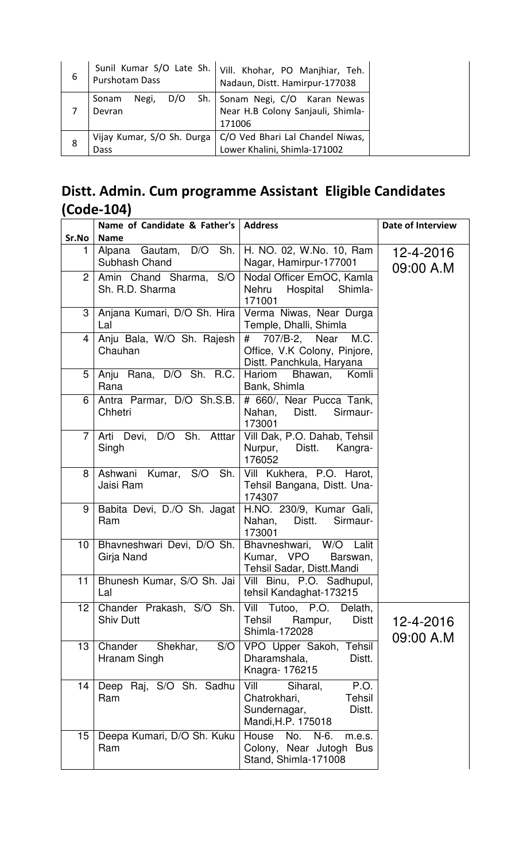| 6 | Sunil Kumar S/O Late Sh.<br>Purshotam Dass | Vill. Khohar, PO Manjhiar, Teh.<br>Nadaun, Distt. Hamirpur-177038          |
|---|--------------------------------------------|----------------------------------------------------------------------------|
|   | Sh.<br>Negi,<br>D/O<br>Sonam<br>Devran     | Sonam Negi, C/O Karan Newas<br>Near H.B Colony Sanjauli, Shimla-<br>171006 |
| 8 | Vijay Kumar, S/O Sh. Durga<br>Dass         | C/O Ved Bhari Lal Chandel Niwas,<br>Lower Khalini, Shimla-171002           |

## Distt. Admin. Cum programme Assistant Eligible Candidates (Code-104)

|                 | Name of Candidate & Father's   Address       |                                                                                                           | <b>Date of Interview</b> |
|-----------------|----------------------------------------------|-----------------------------------------------------------------------------------------------------------|--------------------------|
| Sr.No           | <b>Name</b>                                  |                                                                                                           |                          |
| 1               | Alpana Gautam, D/O Sh.<br>Subhash Chand      | H. NO. 02, W.No. 10, Ram<br>Nagar, Hamirpur-177001                                                        | 12-4-2016<br>09:00 A.M   |
| 2 <sup>1</sup>  | Amin Chand Sharma, S/O<br>Sh. R.D. Sharma    | Nodal Officer EmOC, Kamla<br>Nehru Hospital Shimla-<br>171001                                             |                          |
| 3               | Anjana Kumari, D/O Sh. Hira<br>Lal           | Verma Niwas, Near Durga<br>Temple, Dhalli, Shimla                                                         |                          |
| 4               | Anju Bala, W/O Sh. Rajesh<br>Chauhan         | # 707/B-2, Near M.C.<br>Office, V.K Colony, Pinjore,<br>Distt. Panchkula, Haryana                         |                          |
| 5               | Anju Rana, D/O Sh. R.C.<br>Rana              | Hariom<br>Bhawan, Komli<br>Bank, Shimla                                                                   |                          |
| 6               | Antra Parmar, D/O Sh.S.B.<br>Chhetri         | # 660/, Near Pucca Tank,<br>Nahan, Distt.<br>Sirmaur-<br>173001                                           |                          |
| $\overline{7}$  | Arti Devi, D/O Sh. Atttar<br>Singh           | Vill Dak, P.O. Dahab, Tehsil<br>Nurpur, Distt. Kangra-<br>176052                                          |                          |
| 8               | Ashwani Kumar, S/O Sh.<br>Jaisi Ram          | Vill Kukhera, P.O. Harot,<br>Tehsil Bangana, Distt. Una-<br>174307                                        |                          |
| 9               | Babita Devi, D./O Sh. Jagat<br>Ram           | H.NO. 230/9, Kumar Gali,<br>Nahan, Distt.<br>Sirmaur-<br>173001                                           |                          |
| 10              | Bhavneshwari Devi, D/O Sh.<br>Girja Nand     | Bhavneshwari, W/O Lalit<br>Kumar, VPO<br>Barswan,<br>Tehsil Sadar, Distt.Mandi                            |                          |
| 11              | Bhunesh Kumar, S/O Sh. Jai<br>Lal            | Vill Binu, P.O. Sadhupul,<br>tehsil Kandaghat-173215                                                      |                          |
| 12 <sup>°</sup> | Chander Prakash, S/O Sh.<br><b>Shiv Dutt</b> | Vill Tutoo, P.O.<br>Delath,<br>Tehsil<br>Rampur,<br><b>Distt</b><br>Shimla-172028                         | 12-4-2016<br>09:00 A.M   |
| 13              | Chander<br>S/O<br>Shekhar,<br>Hranam Singh   | VPO Upper Sakoh, Tehsil<br>Dharamshala,<br>Distt.<br>Knagra-176215                                        |                          |
| 14              | Deep Raj, S/O Sh. Sadhu<br>Ram               | Vill<br>Siharal,<br>P.O.<br><b>Tehsil</b><br>Chatrokhari,<br>Sundernagar,<br>Distt.<br>Mandi, H.P. 175018 |                          |
| 15              | Deepa Kumari, D/O Sh. Kuku<br>Ram            | No. N-6.<br>House<br>m.e.s.<br>Colony, Near Jutogh Bus<br>Stand, Shimla-171008                            |                          |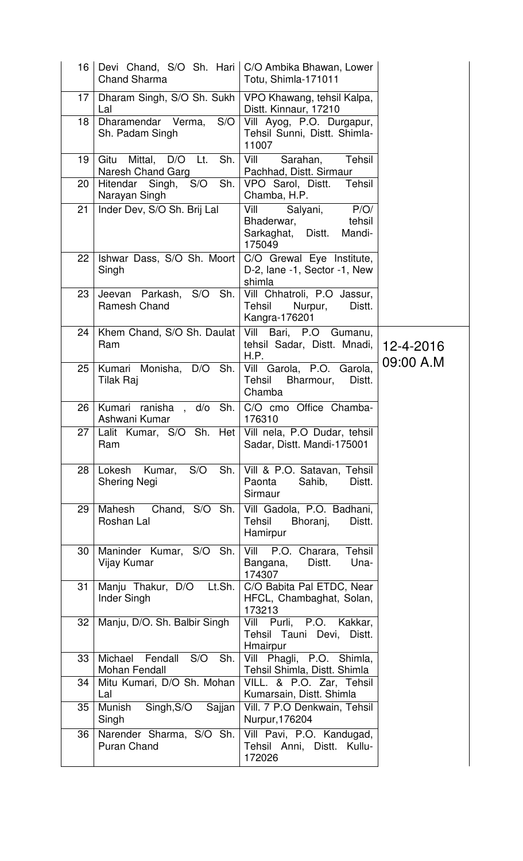| 16 I            | Devi Chand, S/O Sh. Hari   C/O Ambika Bhawan, Lower<br><b>Chand Sharma</b> | Totu, Shimla-171011                                                                       |                        |
|-----------------|----------------------------------------------------------------------------|-------------------------------------------------------------------------------------------|------------------------|
| 17 <sup>2</sup> | Dharam Singh, S/O Sh. Sukh<br>Lal                                          | VPO Khawang, tehsil Kalpa,<br>Distt. Kinnaur, 17210                                       |                        |
| 18              | Dharamendar Verma,<br>S/O<br>Sh. Padam Singh                               | Vill Ayog, P.O. Durgapur,<br>Tehsil Sunni, Distt. Shimla-<br>11007                        |                        |
| 19              | Gitu Mittal, D/O Lt.<br>Sh.<br>Naresh Chand Garg                           | Vill<br>Tehsil<br>Sarahan,<br>Pachhad, Distt. Sirmaur                                     |                        |
| 20              | Hitendar Singh, S/O<br>Sh.<br>Narayan Singh                                | VPO Sarol, Distt.<br>Tehsil<br>Chamba, H.P.                                               |                        |
| 21              | Inder Dev, S/O Sh. Brij Lal                                                | Vill<br>P/O/<br>Salyani,<br>Bhaderwar,<br>tehsil<br>Sarkaghat, Distt.<br>Mandi-<br>175049 |                        |
| 22              | Ishwar Dass, S/O Sh. Moort  <br>Singh                                      | C/O Grewal Eye Institute,<br>D-2, lane -1, Sector -1, New<br>shimla                       |                        |
| 23              | Jeevan Parkash, S/O Sh.<br>Ramesh Chand                                    | Vill Chhatroli, P.O Jassur,<br>Tehsil<br>Nurpur,<br>Distt.<br>Kangra-176201               |                        |
| 24              | Khem Chand, S/O Sh. Daulat<br>Ram                                          | Vill Bari, P.O Gumanu,<br>tehsil Sadar, Distt. Mnadi,<br>H.P.                             | 12-4-2016<br>09:00 A.M |
| 25              | Kumari<br>Monisha, D/O Sh.<br>Tilak Raj                                    | Vill Garola, P.O.<br>Garola,<br>Tehsil<br>Bharmour,<br>Distt.<br>Chamba                   |                        |
| 26              | Kumari ranisha, d/o Sh.   C/O cmo Office Chamba-<br>Ashwani Kumar          | 176310                                                                                    |                        |
| 27              | Lalit Kumar, S/O Sh. Het Vill nela, P.O Dudar, tehsil<br>Ram               | Sadar, Distt. Mandi-175001                                                                |                        |
| 28              | S/O<br>Sh.<br>Lokesh<br>Kumar,<br><b>Shering Negi</b>                      | Vill & P.O. Satavan, Tehsil<br>Paonta<br>Sahib,<br>Distt.<br>Sirmaur                      |                        |
| 29              | Chand, S/O Sh.<br>Mahesh<br>Roshan Lal                                     | Vill Gadola, P.O. Badhani,<br><b>Tehsil</b><br>Bhoranj,<br>Distt.<br>Hamirpur             |                        |
| 30              | Maninder Kumar, S/O<br>Sh.<br>Vijay Kumar                                  | Tehsil<br>Vill<br>P.O. Charara,<br>Distt.<br>Una-<br>Bangana,<br>174307                   |                        |
| 31              | Manju Thakur, D/O<br>Lt.Sh.<br>Inder Singh                                 | C/O Babita Pal ETDC, Near<br>HFCL, Chambaghat, Solan,<br>173213                           |                        |
| 32              | Manju, D/O. Sh. Balbir Singh                                               | Vill Purli, P.O. Kakkar,<br>Tehsil Tauni Devi, Distt.<br>Hmairpur                         |                        |
| 33              | Michael Fendall<br>S/O<br>Sh.<br>Mohan Fendall                             | Vill Phagli, P.O. Shimla,<br>Tehsil Shimla, Distt. Shimla                                 |                        |
| 34              | Mitu Kumari, D/O Sh. Mohan<br>Lal                                          | VILL. & P.O. Zar, Tehsil<br>Kumarsain, Distt. Shimla                                      |                        |
| 35              | Munish<br>Singh, S/O<br>Sajjan<br>Singh                                    | Vill. 7 P.O Denkwain, Tehsil<br>Nurpur, 176204                                            |                        |
| 36              | Narender Sharma, S/O Sh.<br><b>Puran Chand</b>                             | Vill Pavi, P.O. Kandugad,<br>Tehsil Anni, Distt. Kullu-<br>172026                         |                        |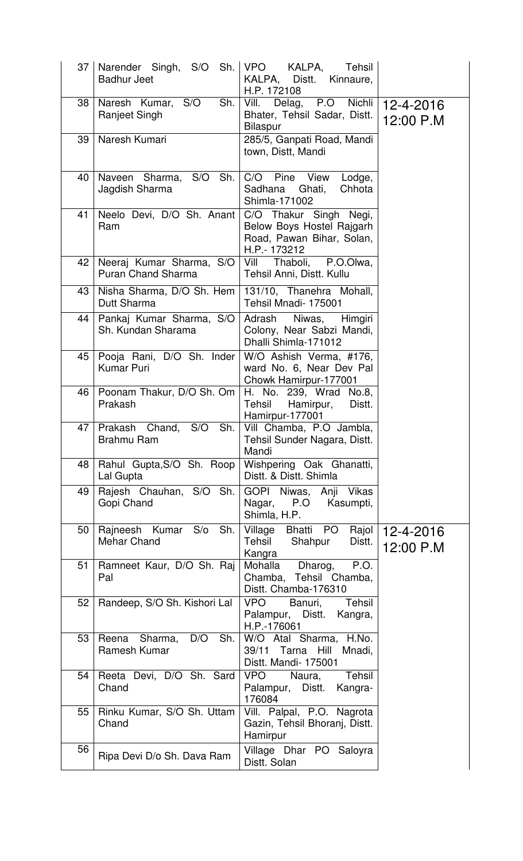| 37 <sup>1</sup> | Narender Singh, S/O<br><b>Badhur Jeet</b>             | Sh.   VPO KALPA,<br>Tehsil<br>KALPA, Distt.<br>Kinnaure,<br>H.P. 172108                          |                        |
|-----------------|-------------------------------------------------------|--------------------------------------------------------------------------------------------------|------------------------|
| 38              | Naresh Kumar, S/O<br>Sh.<br>Ranjeet Singh             | Vill.<br>Delag, P.O Nichli<br>Bhater, Tehsil Sadar, Distt.<br><b>Bilaspur</b>                    | 12-4-2016<br>12:00 P.M |
| 39              | Naresh Kumari                                         | 285/5, Ganpati Road, Mandi<br>town, Distt, Mandi                                                 |                        |
| 40              | Naveen Sharma, S/O<br>Sh.<br>Jagdish Sharma           | C/O<br>Pine<br>View<br>Lodge,<br>Sadhana<br>Ghati,<br>Chhota<br>Shimla-171002                    |                        |
| 41              | Neelo Devi, D/O Sh. Anant<br>Ram                      | C/O Thakur Singh Negi,<br>Below Boys Hostel Rajgarh<br>Road, Pawan Bihar, Solan,<br>H.P.- 173212 |                        |
| 42              | Neeraj Kumar Sharma, S/O<br><b>Puran Chand Sharma</b> | Vill Thaboli, P.O.Olwa,<br>Tehsil Anni, Distt. Kullu                                             |                        |
| 43              | Nisha Sharma, D/O Sh. Hem<br>Dutt Sharma              | 131/10, Thanehra Mohall,<br>Tehsil Mnadi-175001                                                  |                        |
| 44              | Pankaj Kumar Sharma, S/O<br>Sh. Kundan Sharama        | Niwas, Himgiri<br>Adrash<br>Colony, Near Sabzi Mandi,<br>Dhalli Shimla-171012                    |                        |
| 45              | Pooja Rani, D/O Sh. Inder<br><b>Kumar Puri</b>        | W/O Ashish Verma, #176,<br>ward No. 6, Near Dev Pal<br>Chowk Hamirpur-177001                     |                        |
| 46              | Poonam Thakur, D/O Sh. Om<br>Prakash                  | H. No. 239, Wrad No.8,<br>Tehsil<br>Hamirpur,<br>Distt.<br>Hamirpur-177001                       |                        |
| 47              | Prakash<br>Chand,<br>S/O<br>Sh.<br>Brahmu Ram         | Vill Chamba, P.O Jambla,<br>Tehsil Sunder Nagara, Distt.<br>Mandi                                |                        |
| 48              | Rahul Gupta, S/O Sh. Roop<br>Lal Gupta                | Wishpering Oak Ghanatti,<br>Distt. & Distt. Shimla                                               |                        |
| 49              | Rajesh Chauhan, S/O Sh.<br>Gopi Chand                 | GOPI Niwas, Anji Vikas<br>Nagar, P.O Kasumpti,<br>Shimla, H.P.                                   |                        |
| 50              | Rajneesh Kumar S/o<br>Sh.<br><b>Mehar Chand</b>       | Village Bhatti PO Rajol<br>Tehsil Shahpur<br>Distt.<br>Kangra                                    | 12-4-2016<br>12:00 P.M |
| 51              | Ramneet Kaur, D/O Sh. Raj<br>Pal                      | P.O.<br>Dharog,<br>Mohalla<br>Chamba, Tehsil Chamba,<br>Distt. Chamba-176310                     |                        |
| 52              | Randeep, S/O Sh. Kishori Lal                          | <b>VPO</b><br>Tehsil<br>Banuri,<br>Palampur, Distt. Kangra,<br>H.P.-176061                       |                        |
| 53              | D/O<br>Sh.<br>Reena Sharma,<br>Ramesh Kumar           | W/O Atal Sharma, H.No.<br>39/11<br>Tarna<br>Hill Mnadi,<br>Distt. Mandi- 175001                  |                        |
| 54              | Reeta Devi, D/O Sh. Sard<br>Chand                     | Tehsil<br><b>VPO</b><br>Naura,<br>Palampur, Distt. Kangra-<br>176084                             |                        |
| 55              | Rinku Kumar, S/O Sh. Uttam<br>Chand                   | Vill. Palpal, P.O. Nagrota<br>Gazin, Tehsil Bhoranj, Distt.<br>Hamirpur                          |                        |
| 56              | Ripa Devi D/o Sh. Dava Ram                            | Village Dhar PO Saloyra<br>Distt. Solan                                                          |                        |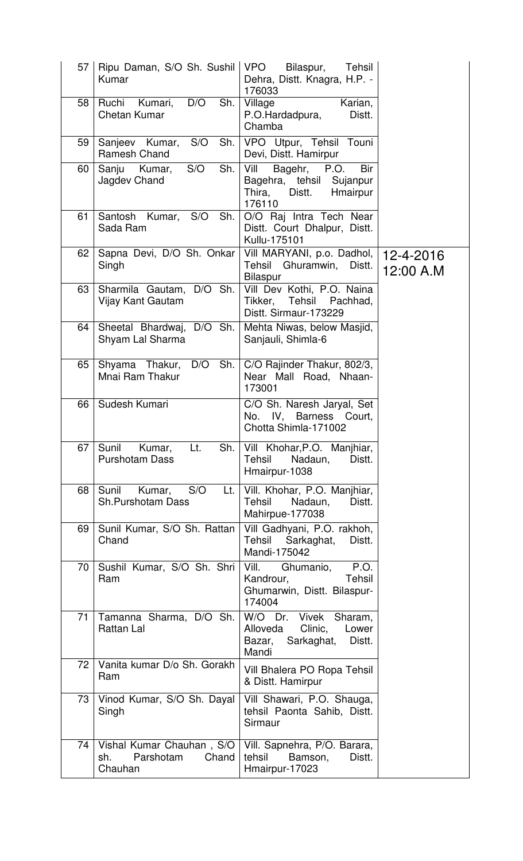| 57 | Ripu Daman, S/O Sh. Sushil<br>Kumar                               | <b>VPO</b><br>Bilaspur,<br>Tehsil<br>Dehra, Distt. Knagra, H.P. -<br>176033                            |                        |
|----|-------------------------------------------------------------------|--------------------------------------------------------------------------------------------------------|------------------------|
| 58 | D/O<br>Ruchi<br>Kumari,<br>Sh.<br><b>Chetan Kumar</b>             | Karian,<br>Village<br>P.O.Hardadpura,<br>Distt.<br>Chamba                                              |                        |
| 59 | S/O<br>Sh.<br>Sanjeev Kumar,<br><b>Ramesh Chand</b>               | VPO Utpur, Tehsil Touni<br>Devi, Distt. Hamirpur                                                       |                        |
| 60 | Sh.<br>S/O<br>Sanju Kumar,<br>Jagdev Chand                        | Vill<br>Bagehr, P.O.<br>Bir<br>Bagehra, tehsil Sujanpur<br>Distt.<br>Thira,<br>Hmairpur<br>176110      |                        |
| 61 | Santosh Kumar, S/O<br>Sh.<br>Sada Ram                             | O/O Raj Intra Tech Near<br>Distt. Court Dhalpur, Distt.<br>Kullu-175101                                |                        |
| 62 | Sapna Devi, D/O Sh. Onkar<br>Singh                                | Vill MARYANI, p.o. Dadhol,<br>Tehsil Ghuramwin,<br>Distt.<br><b>Bilaspur</b>                           | 12-4-2016<br>12:00 A.M |
| 63 | Sharmila Gautam, D/O Sh.<br>Vijay Kant Gautam                     | Vill Dev Kothi, P.O. Naina<br>Tikker, Tehsil Pachhad,<br>Distt. Sirmaur-173229                         |                        |
| 64 | Sheetal Bhardwaj, D/O Sh.<br>Shyam Lal Sharma                     | Mehta Niwas, below Masjid,<br>Sanjauli, Shimla-6                                                       |                        |
| 65 | Shyama Thakur, D/O<br>Sh.<br>Mnai Ram Thakur                      | C/O Rajinder Thakur, 802/3,<br>Near Mall Road, Nhaan-<br>173001                                        |                        |
| 66 | Sudesh Kumari                                                     | C/O Sh. Naresh Jaryal, Set<br>No. IV, Barness Court,<br>Chotta Shimla-171002                           |                        |
| 67 | Lt.<br>Sh.<br>Sunil<br>Kumar,<br><b>Purshotam Dass</b>            | Vill Khohar, P.O. Manjhiar,<br><b>Tehsil</b><br>Nadaun,<br>Distt.<br>Hmairpur-1038                     |                        |
| 68 | Sunil<br>S/O<br>Kumar,<br>Lt.<br><b>Sh.Purshotam Dass</b>         | Vill. Khohar, P.O. Manjhiar,<br><b>Tehsil</b><br>Nadaun,<br>Distt.<br>Mahirpue-177038                  |                        |
| 69 | Sunil Kumar, S/O Sh. Rattan<br>Chand                              | Vill Gadhyani, P.O. rakhoh,<br>Tehsil Sarkaghat,<br>Distt.<br>Mandi-175042                             |                        |
| 70 | Sushil Kumar, S/O Sh. Shri<br>Ram                                 | Vill. Ghumanio,<br>P.O.<br>Kandrour,<br><b>Tehsil</b><br>Ghumarwin, Distt. Bilaspur-<br>174004         |                        |
| 71 | Tamanna Sharma, D/O Sh.<br>Rattan Lal                             | W/O Dr.<br>Vivek<br>Sharam,<br>Clinic,<br>Alloveda<br>Lower<br>Bazar,<br>Sarkaghat,<br>Distt.<br>Mandi |                        |
| 72 | Vanita kumar D/o Sh. Gorakh<br>Ram                                | Vill Bhalera PO Ropa Tehsil<br>& Distt. Hamirpur                                                       |                        |
| 73 | Vinod Kumar, S/O Sh. Dayal<br>Singh                               | Vill Shawari, P.O. Shauga,<br>tehsil Paonta Sahib, Distt.<br>Sirmaur                                   |                        |
| 74 | Vishal Kumar Chauhan, S/O<br>Parshotam<br>Chand<br>sh.<br>Chauhan | Vill. Sapnehra, P/O. Barara,<br>tehsil<br>Bamson,<br>Distt.<br>Hmairpur-17023                          |                        |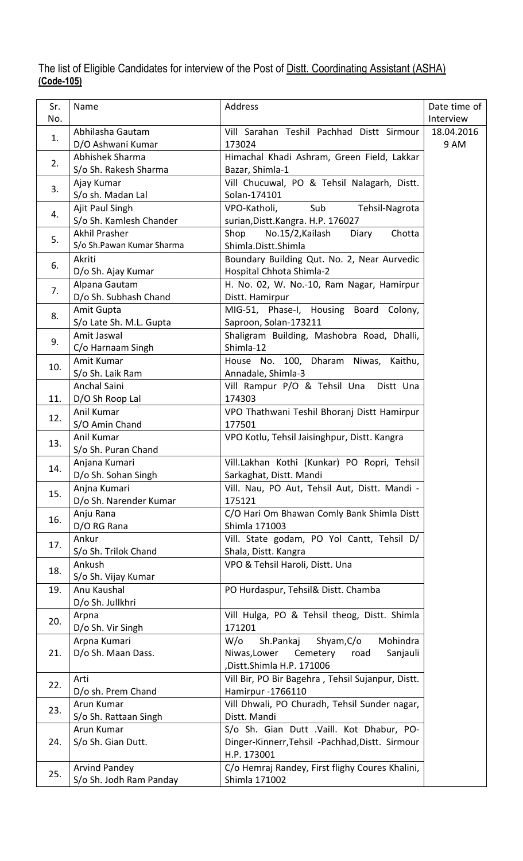The list of Eligible Candidates for interview of the Post of <u>Distt. Coordinating Assistant (ASHA)</u> (Code-105)

| Sr.<br>No. | Name                                              | Address                                                                                                                    | Date time of<br>Interview |
|------------|---------------------------------------------------|----------------------------------------------------------------------------------------------------------------------------|---------------------------|
| 1.         | Abhilasha Gautam<br>D/O Ashwani Kumar             | Vill Sarahan Teshil Pachhad Distt Sirmour<br>173024                                                                        | 18.04.2016<br>9 AM        |
| 2.         | Abhishek Sharma<br>S/o Sh. Rakesh Sharma          | Himachal Khadi Ashram, Green Field, Lakkar<br>Bazar, Shimla-1                                                              |                           |
| 3.         | Ajay Kumar<br>S/o sh. Madan Lal                   | Vill Chucuwal, PO & Tehsil Nalagarh, Distt.<br>Solan-174101                                                                |                           |
| 4.         | Ajit Paul Singh<br>S/o Sh. Kamlesh Chander        | Sub<br>VPO-Katholi,<br>Tehsil-Nagrota<br>surian, Distt. Kangra. H.P. 176027                                                |                           |
| 5.         | <b>Akhil Prasher</b><br>S/o Sh.Pawan Kumar Sharma | Shop<br>No.15/2, Kailash<br>Chotta<br>Diary<br>Shimla.Distt.Shimla                                                         |                           |
| 6.         | Akriti<br>D/o Sh. Ajay Kumar                      | Boundary Building Qut. No. 2, Near Aurvedic<br>Hospital Chhota Shimla-2                                                    |                           |
| 7.         | Alpana Gautam<br>D/o Sh. Subhash Chand            | H. No. 02, W. No.-10, Ram Nagar, Hamirpur<br>Distt. Hamirpur                                                               |                           |
| 8.         | Amit Gupta<br>S/o Late Sh. M.L. Gupta             | MIG-51, Phase-I, Housing Board Colony,<br>Saproon, Solan-173211                                                            |                           |
| 9.         | Amit Jaswal<br>C/o Harnaam Singh                  | Shaligram Building, Mashobra Road, Dhalli,<br>Shimla-12                                                                    |                           |
| 10.        | Amit Kumar<br>S/o Sh. Laik Ram                    | House No. 100, Dharam Niwas, Kaithu,<br>Annadale, Shimla-3                                                                 |                           |
| 11.        | Anchal Saini<br>D/O Sh Roop Lal                   | Vill Rampur P/O & Tehsil Una<br>Distt Una<br>174303                                                                        |                           |
| 12.        | Anil Kumar<br>S/O Amin Chand                      | VPO Thathwani Teshil Bhoranj Distt Hamirpur<br>177501                                                                      |                           |
| 13.        | Anil Kumar<br>S/o Sh. Puran Chand                 | VPO Kotlu, Tehsil Jaisinghpur, Distt. Kangra                                                                               |                           |
| 14.        | Anjana Kumari                                     | Vill.Lakhan Kothi (Kunkar) PO Ropri, Tehsil                                                                                |                           |
| 15.        | D/o Sh. Sohan Singh<br>Anjna Kumari               | Sarkaghat, Distt. Mandi<br>Vill. Nau, PO Aut, Tehsil Aut, Distt. Mandi -                                                   |                           |
| 16.        | D/o Sh. Narender Kumar<br>Anju Rana               | 175121<br>C/O Hari Om Bhawan Comly Bank Shimla Distt                                                                       |                           |
| 17.        | D/O RG Rana<br>Ankur                              | Shimla 171003<br>Vill. State godam, PO Yol Cantt, Tehsil D/                                                                |                           |
| 18.        | S/o Sh. Trilok Chand<br>Ankush                    | Shala, Distt. Kangra<br>VPO & Tehsil Haroli, Distt. Una                                                                    |                           |
| 19.        | S/o Sh. Vijay Kumar<br>Anu Kaushal                | PO Hurdaspur, Tehsil& Distt. Chamba                                                                                        |                           |
| 20.        | D/o Sh. Jullkhri<br>Arpna<br>D/o Sh. Vir Singh    | Vill Hulga, PO & Tehsil theog, Distt. Shimla<br>171201                                                                     |                           |
| 21.        | Arpna Kumari<br>D/o Sh. Maan Dass.                | Sh.Pankaj<br>Shyam, C/o<br>Mohindra<br>$W$ /0<br>Niwas, Lower<br>Cemetery<br>Sanjauli<br>road<br>,Distt.Shimla H.P. 171006 |                           |
| 22.        | Arti<br>D/o sh. Prem Chand                        | Vill Bir, PO Bir Bagehra, Tehsil Sujanpur, Distt.<br>Hamirpur -1766110                                                     |                           |
| 23.        | Arun Kumar<br>S/o Sh. Rattaan Singh               | Vill Dhwali, PO Churadh, Tehsil Sunder nagar,<br>Distt. Mandi                                                              |                           |
| 24.        | Arun Kumar<br>S/o Sh. Gian Dutt.                  | S/o Sh. Gian Dutt .Vaill. Kot Dhabur, PO-<br>Dinger-Kinnerr, Tehsil - Pachhad, Distt. Sirmour<br>H.P. 173001               |                           |
| 25.        | <b>Arvind Pandey</b><br>S/o Sh. Jodh Ram Panday   | C/o Hemraj Randey, First flighy Coures Khalini,<br>Shimla 171002                                                           |                           |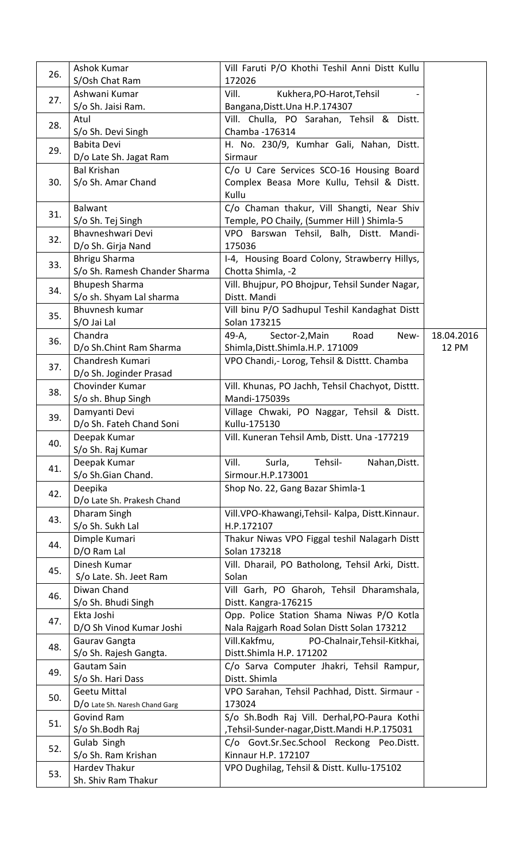| 26. | Ashok Kumar                              | Vill Faruti P/O Khothi Teshil Anni Distt Kullu                           |              |
|-----|------------------------------------------|--------------------------------------------------------------------------|--------------|
|     | S/Osh Chat Ram                           | 172026                                                                   |              |
| 27. | Ashwani Kumar                            | Kukhera, PO-Harot, Tehsil<br>Vill.                                       |              |
|     | S/o Sh. Jaisi Ram.                       | Bangana, Distt. Una H.P. 174307                                          |              |
| 28. | Atul                                     | Vill. Chulla, PO Sarahan, Tehsil & Distt.                                |              |
|     | S/o Sh. Devi Singh                       | Chamba - 176314                                                          |              |
| 29. | <b>Babita Devi</b>                       | H. No. 230/9, Kumhar Gali, Nahan, Distt.                                 |              |
|     | D/o Late Sh. Jagat Ram                   | Sirmaur                                                                  |              |
|     | <b>Bal Krishan</b>                       | C/o U Care Services SCO-16 Housing Board                                 |              |
| 30. | S/o Sh. Amar Chand                       | Complex Beasa More Kullu, Tehsil & Distt.<br>Kullu                       |              |
|     | Balwant                                  | C/o Chaman thakur, Vill Shangti, Near Shiv                               |              |
| 31. | S/o Sh. Tej Singh                        | Temple, PO Chaily, (Summer Hill) Shimla-5                                |              |
|     | Bhavneshwari Devi                        | VPO Barswan Tehsil, Balh, Distt. Mandi-                                  |              |
| 32. | D/o Sh. Girja Nand                       | 175036                                                                   |              |
|     | <b>Bhrigu Sharma</b>                     | I-4, Housing Board Colony, Strawberry Hillys,                            |              |
| 33. | S/o Sh. Ramesh Chander Sharma            | Chotta Shimla, -2                                                        |              |
|     | <b>Bhupesh Sharma</b>                    | Vill. Bhujpur, PO Bhojpur, Tehsil Sunder Nagar,                          |              |
| 34. | S/o sh. Shyam Lal sharma                 | Distt. Mandi                                                             |              |
|     | <b>Bhuvnesh kumar</b>                    | Vill binu P/O Sadhupul Teshil Kandaghat Distt                            |              |
| 35. | S/O Jai Lal                              | Solan 173215                                                             |              |
| 36. | Chandra                                  | Road<br>49-A,<br>Sector-2, Main<br>New-                                  | 18.04.2016   |
|     | D/o Sh.Chint Ram Sharma                  | Shimla, Distt. Shimla. H.P. 171009                                       | <b>12 PM</b> |
| 37. | Chandresh Kumari                         | VPO Chandi, - Lorog, Tehsil & Disttt. Chamba                             |              |
|     | D/o Sh. Joginder Prasad                  |                                                                          |              |
| 38. | Chovinder Kumar                          | Vill. Khunas, PO Jachh, Tehsil Chachyot, Disttt.                         |              |
|     | S/o sh. Bhup Singh                       | Mandi-175039s                                                            |              |
| 39. | Damyanti Devi                            | Village Chwaki, PO Naggar, Tehsil & Distt.                               |              |
|     | D/o Sh. Fateh Chand Soni<br>Deepak Kumar | Kullu-175130<br>Vill. Kuneran Tehsil Amb, Distt. Una -177219             |              |
| 40. | S/o Sh. Raj Kumar                        |                                                                          |              |
|     | Deepak Kumar                             | Vill.<br>Tehsil-<br>Surla,<br>Nahan, Distt.                              |              |
| 41. | S/o Sh.Gian Chand.                       | Sirmour.H.P.173001                                                       |              |
|     | Deepika                                  | Shop No. 22, Gang Bazar Shimla-1                                         |              |
| 42. | D/o Late Sh. Prakesh Chand               |                                                                          |              |
|     | Dharam Singh                             | Vill.VPO-Khawangi, Tehsil- Kalpa, Distt. Kinnaur.                        |              |
| 43. | S/o Sh. Sukh Lal                         | H.P.172107                                                               |              |
| 44. | Dimple Kumari                            | Thakur Niwas VPO Figgal teshil Nalagarh Distt                            |              |
|     | D/O Ram Lal                              | Solan 173218                                                             |              |
| 45. | Dinesh Kumar                             | Vill. Dharail, PO Batholong, Tehsil Arki, Distt.                         |              |
|     | S/o Late. Sh. Jeet Ram                   | Solan                                                                    |              |
| 46. | Diwan Chand                              | Vill Garh, PO Gharoh, Tehsil Dharamshala,                                |              |
|     | S/o Sh. Bhudi Singh                      | Distt. Kangra-176215                                                     |              |
| 47. | Ekta Joshi                               | Opp. Police Station Shama Niwas P/O Kotla                                |              |
|     | D/O Sh Vinod Kumar Joshi                 | Nala Rajgarh Road Solan Distt Solan 173212                               |              |
| 48. | Gaurav Gangta<br>S/o Sh. Rajesh Gangta.  | Vill.Kakfmu,<br>PO-Chalnair, Tehsil-Kitkhai,<br>Distt.Shimla H.P. 171202 |              |
|     | Gautam Sain                              | C/o Sarva Computer Jhakri, Tehsil Rampur,                                |              |
| 49. | S/o Sh. Hari Dass                        | Distt. Shimla                                                            |              |
|     | <b>Geetu Mittal</b>                      | VPO Sarahan, Tehsil Pachhad, Distt. Sirmaur -                            |              |
| 50. | D/O Late Sh. Naresh Chand Garg           | 173024                                                                   |              |
|     | Govind Ram                               | S/o Sh.Bodh Raj Vill. Derhal, PO-Paura Kothi                             |              |
| 51. | S/o Sh.Bodh Raj                          | ,Tehsil-Sunder-nagar,Distt.Mandi H.P.175031                              |              |
| 52. | Gulab Singh                              | C/o Govt.Sr.Sec.School Reckong Peo.Distt.                                |              |
|     | S/o Sh. Ram Krishan                      | Kinnaur H.P. 172107                                                      |              |
| 53. | Hardev Thakur                            | VPO Dughilag, Tehsil & Distt. Kullu-175102                               |              |
|     | Sh. Shiv Ram Thakur                      |                                                                          |              |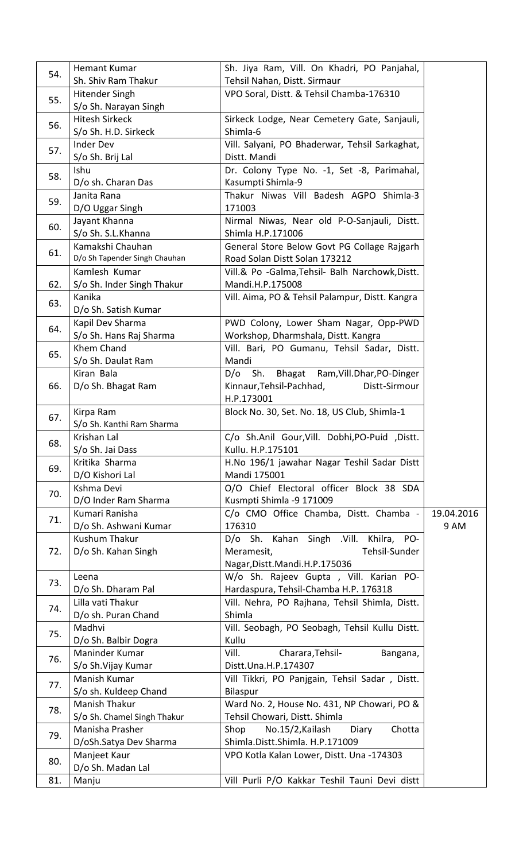| 54. | Hemant Kumar                  | Sh. Jiya Ram, Vill. On Khadri, PO Panjahal,     |            |
|-----|-------------------------------|-------------------------------------------------|------------|
|     | Sh. Shiv Ram Thakur           | Tehsil Nahan, Distt. Sirmaur                    |            |
| 55. | <b>Hitender Singh</b>         | VPO Soral, Distt. & Tehsil Chamba-176310        |            |
|     | S/o Sh. Narayan Singh         |                                                 |            |
| 56. | <b>Hitesh Sirkeck</b>         | Sirkeck Lodge, Near Cemetery Gate, Sanjauli,    |            |
|     | S/o Sh. H.D. Sirkeck          | Shimla-6                                        |            |
| 57. | <b>Inder Dev</b>              | Vill. Salyani, PO Bhaderwar, Tehsil Sarkaghat,  |            |
|     | S/o Sh. Brij Lal              | Distt. Mandi                                    |            |
| 58. | Ishu                          | Dr. Colony Type No. -1, Set -8, Parimahal,      |            |
|     | D/o sh. Charan Das            | Kasumpti Shimla-9                               |            |
| 59. | Janita Rana                   | Thakur Niwas Vill Badesh AGPO Shimla-3          |            |
|     | D/O Uggar Singh               | 171003                                          |            |
|     | Jayant Khanna                 | Nirmal Niwas, Near old P-O-Sanjauli, Distt.     |            |
| 60. | S/o Sh. S.L.Khanna            | Shimla H.P.171006                               |            |
|     | Kamakshi Chauhan              | General Store Below Govt PG Collage Rajgarh     |            |
| 61. | D/o Sh Tapender Singh Chauhan | Road Solan Distt Solan 173212                   |            |
|     | Kamlesh Kumar                 | Vill.& Po -Galma, Tehsil- Balh Narchowk, Distt. |            |
| 62. | S/o Sh. Inder Singh Thakur    | Mandi.H.P.175008                                |            |
|     | Kanika                        | Vill. Aima, PO & Tehsil Palampur, Distt. Kangra |            |
| 63. | D/o Sh. Satish Kumar          |                                                 |            |
|     | Kapil Dev Sharma              | PWD Colony, Lower Sham Nagar, Opp-PWD           |            |
| 64. | S/o Sh. Hans Raj Sharma       | Workshop, Dharmshala, Distt. Kangra             |            |
|     | Khem Chand                    | Vill. Bari, PO Gumanu, Tehsil Sadar, Distt.     |            |
| 65. | S/o Sh. Daulat Ram            | Mandi                                           |            |
|     | Kiran Bala                    | Bhagat Ram, Vill. Dhar, PO-Dinger<br>Sh.<br>D/O |            |
| 66. | D/o Sh. Bhagat Ram            | Kinnaur, Tehsil-Pachhad,<br>Distt-Sirmour       |            |
|     |                               | H.P.173001                                      |            |
|     | Kirpa Ram                     | Block No. 30, Set. No. 18, US Club, Shimla-1    |            |
| 67. | S/o Sh. Kanthi Ram Sharma     |                                                 |            |
|     | Krishan Lal                   | C/o Sh.Anil Gour, Vill. Dobhi, PO-Puid, Distt.  |            |
| 68. | S/o Sh. Jai Dass              | Kullu. H.P.175101                               |            |
| 69. | Kritika Sharma                | H.No 196/1 jawahar Nagar Teshil Sadar Distt     |            |
|     | D/O Kishori Lal               | Mandi 175001                                    |            |
| 70. | Kshma Devi                    | O/O Chief Electoral officer Block 38 SDA        |            |
|     | D/O Inder Ram Sharma          | Kusmpti Shimla -9 171009                        |            |
| 71. | Kumari Ranisha                | C/o CMO Office Chamba, Distt. Chamba -          | 19.04.2016 |
|     | D/o Sh. Ashwani Kumar         | 176310                                          | 9 AM       |
|     | <b>Kushum Thakur</b>          | D/o Sh. Kahan Singh .Vill. Khilra, PO-          |            |
| 72. | D/o Sh. Kahan Singh           | Meramesit,<br>Tehsil-Sunder                     |            |
|     |                               | Nagar, Distt. Mandi. H.P. 175036                |            |
| 73. | Leena                         | W/o Sh. Rajeev Gupta, Vill. Karian PO-          |            |
|     | D/o Sh. Dharam Pal            | Hardaspura, Tehsil-Chamba H.P. 176318           |            |
| 74. | Lilla vati Thakur             | Vill. Nehra, PO Rajhana, Tehsil Shimla, Distt.  |            |
|     | D/o sh. Puran Chand           | Shimla                                          |            |
| 75. | Madhvi                        | Vill. Seobagh, PO Seobagh, Tehsil Kullu Distt.  |            |
|     | D/o Sh. Balbir Dogra          | Kullu                                           |            |
| 76. | Maninder Kumar                | Vill.<br>Charara, Tehsil-<br>Bangana,           |            |
|     | S/o Sh.Vijay Kumar            | Distt.Una.H.P.174307                            |            |
| 77. | Manish Kumar                  | Vill Tikkri, PO Panjgain, Tehsil Sadar, Distt.  |            |
|     | S/o sh. Kuldeep Chand         | Bilaspur                                        |            |
| 78. | Manish Thakur                 | Ward No. 2, House No. 431, NP Chowari, PO &     |            |
|     | S/o Sh. Chamel Singh Thakur   | Tehsil Chowari, Distt. Shimla                   |            |
| 79. | Manisha Prasher               | No.15/2, Kailash<br>Shop<br>Chotta<br>Diary     |            |
|     | D/oSh.Satya Dev Sharma        | Shimla.Distt.Shimla. H.P.171009                 |            |
| 80. | Manjeet Kaur                  | VPO Kotla Kalan Lower, Distt. Una -174303       |            |
|     | D/o Sh. Madan Lal             |                                                 |            |
| 81. | Manju                         | Vill Purli P/O Kakkar Teshil Tauni Devi distt   |            |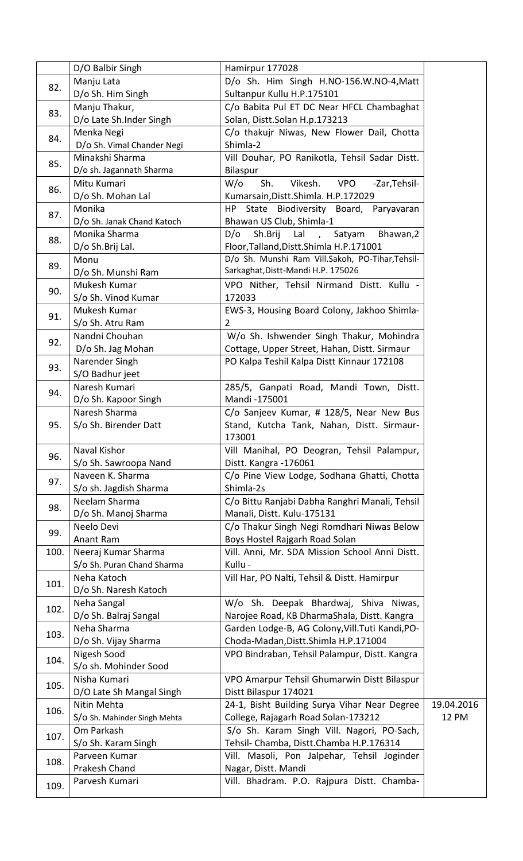|      | D/O Balbir Singh                     | Hamirpur 177028                                                                             |            |
|------|--------------------------------------|---------------------------------------------------------------------------------------------|------------|
|      | Manju Lata                           | D/o Sh. Him Singh H.NO-156.W.NO-4, Matt                                                     |            |
| 82.  | D/o Sh. Him Singh                    | Sultanpur Kullu H.P.175101                                                                  |            |
|      | Manju Thakur,                        | C/o Babita Pul ET DC Near HFCL Chambaghat                                                   |            |
| 83.  | D/o Late Sh.Inder Singh              | Solan, Distt.Solan H.p.173213                                                               |            |
|      | Menka Negi                           | C/o thakujr Niwas, New Flower Dail, Chotta                                                  |            |
| 84.  | D/o Sh. Vimal Chander Negi           | Shimla-2                                                                                    |            |
|      | Minakshi Sharma                      | Vill Douhar, PO Ranikotla, Tehsil Sadar Distt.                                              |            |
| 85.  | D/o sh. Jagannath Sharma             | Bilaspur                                                                                    |            |
|      | Mitu Kumari                          | $W$ /o<br><b>VPO</b><br>Sh.<br>Vikesh.<br>-Zar, Tehsil-                                     |            |
| 86.  | D/o Sh. Mohan Lal                    | Kumarsain, Distt. Shimla. H.P. 172029                                                       |            |
|      | Monika                               | HP -                                                                                        |            |
| 87.  | D/o Sh. Janak Chand Katoch           | State Biodiversity Board,<br>Paryavaran<br>Bhawan US Club, Shimla-1                         |            |
|      | Monika Sharma                        | Sh.Brij<br>Bhawan,2                                                                         |            |
| 88.  |                                      | D/O<br>Lal,<br>Satyam                                                                       |            |
|      | D/o Sh.Brij Lal.<br>Monu             | Floor, Talland, Distt. Shimla H.P.171001<br>D/o Sh. Munshi Ram Vill.Sakoh, PO-Tihar,Tehsil- |            |
| 89.  |                                      | Sarkaghat, Distt-Mandi H.P. 175026                                                          |            |
|      | D/o Sh. Munshi Ram<br>Mukesh Kumar   |                                                                                             |            |
| 90.  |                                      | VPO Nither, Tehsil Nirmand Distt. Kullu -                                                   |            |
|      | S/o Sh. Vinod Kumar                  | 172033                                                                                      |            |
| 91.  | Mukesh Kumar                         | EWS-3, Housing Board Colony, Jakhoo Shimla-                                                 |            |
|      | S/o Sh. Atru Ram                     | 2                                                                                           |            |
| 92.  | Nandni Chouhan                       | W/o Sh. Ishwender Singh Thakur, Mohindra                                                    |            |
|      | D/o Sh. Jag Mohan                    | Cottage, Upper Street, Hahan, Distt. Sirmaur                                                |            |
| 93.  | Narender Singh                       | PO Kalpa Teshil Kalpa Distt Kinnaur 172108                                                  |            |
|      | S/O Badhur jeet                      |                                                                                             |            |
| 94.  | Naresh Kumari                        | 285/5, Ganpati Road, Mandi Town, Distt.                                                     |            |
|      | D/o Sh. Kapoor Singh                 | Mandi -175001                                                                               |            |
|      | Naresh Sharma                        | C/o Sanjeev Kumar, # 128/5, Near New Bus                                                    |            |
| 95.  | S/o Sh. Birender Datt                | Stand, Kutcha Tank, Nahan, Distt. Sirmaur-                                                  |            |
|      |                                      | 173001                                                                                      |            |
| 96.  | Naval Kishor                         | Vill Manihal, PO Deogran, Tehsil Palampur,                                                  |            |
|      | S/o Sh. Sawroopa Nand                | Distt. Kangra - 176061                                                                      |            |
| 97.  | Naveen K. Sharma                     | C/o Pine View Lodge, Sodhana Ghatti, Chotta                                                 |            |
|      | S/o sh. Jagdish Sharma               | Shimla-2s                                                                                   |            |
| 98.  | Neelam Sharma                        | C/o Bittu Ranjabi Dabha Ranghri Manali, Tehsil                                              |            |
|      | D/o Sh. Manoj Sharma                 | Manali, Distt. Kulu-175131                                                                  |            |
| 99.  | Neelo Devi                           | C/o Thakur Singh Negi Romdhari Niwas Below                                                  |            |
|      | Anant Ram                            | Boys Hostel Rajgarh Road Solan                                                              |            |
| 100. | Neeraj Kumar Sharma                  | Vill. Anni, Mr. SDA Mission School Anni Distt.                                              |            |
|      | S/o Sh. Puran Chand Sharma           | Kullu -                                                                                     |            |
| 101. | Neha Katoch                          | Vill Har, PO Nalti, Tehsil & Distt. Hamirpur                                                |            |
|      | D/o Sh. Naresh Katoch                |                                                                                             |            |
| 102. | Neha Sangal                          | W/o Sh. Deepak Bhardwaj, Shiva Niwas,                                                       |            |
|      | D/o Sh. Balraj Sangal                | Narojee Road, KB DharmaShala, Distt. Kangra                                                 |            |
| 103. | Neha Sharma                          | Garden Lodge-B, AG Colony, Vill. Tuti Kandi, PO-                                            |            |
|      | D/o Sh. Vijay Sharma                 | Choda-Madan, Distt. Shimla H.P.171004                                                       |            |
| 104. | Nigesh Sood<br>S/o sh. Mohinder Sood | VPO Bindraban, Tehsil Palampur, Distt. Kangra                                               |            |
|      |                                      |                                                                                             |            |
| 105. | Nisha Kumari                         | VPO Amarpur Tehsil Ghumarwin Distt Bilaspur                                                 |            |
|      | D/O Late Sh Mangal Singh             | Distt Bilaspur 174021                                                                       |            |
| 106. | Nitin Mehta                          | 24-1, Bisht Building Surya Vihar Near Degree                                                | 19.04.2016 |
|      | S/O Sh. Mahinder Singh Mehta         | College, Rajagarh Road Solan-173212                                                         | 12 PM      |
| 107. | Om Parkash                           | S/o Sh. Karam Singh Vill. Nagori, PO-Sach,                                                  |            |
|      | S/o Sh. Karam Singh                  | Tehsil- Chamba, Distt.Chamba H.P.176314                                                     |            |
| 108. | Parveen Kumar                        | Vill. Masoli, Pon Jalpehar, Tehsil Joginder                                                 |            |
|      | Prakesh Chand                        | Nagar, Distt. Mandi                                                                         |            |
| 109. | Parvesh Kumari                       | Vill. Bhadram. P.O. Rajpura Distt. Chamba-                                                  |            |
|      |                                      |                                                                                             |            |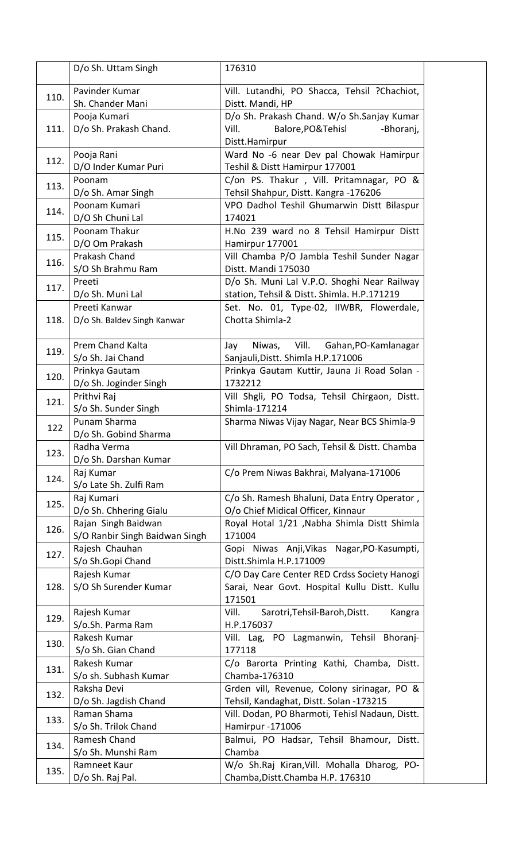|      | D/o Sh. Uttam Singh            | 176310                                           |
|------|--------------------------------|--------------------------------------------------|
|      | Pavinder Kumar                 | Vill. Lutandhi, PO Shacca, Tehsil ?Chachiot,     |
| 110. | Sh. Chander Mani               | Distt. Mandi, HP                                 |
|      | Pooja Kumari                   | D/o Sh. Prakash Chand. W/o Sh.Sanjay Kumar       |
| 111. | D/o Sh. Prakash Chand.         | Balore, PO& Tehisl<br>Vill.<br>-Bhoranj,         |
|      |                                | Distt.Hamirpur                                   |
|      | Pooja Rani                     | Ward No -6 near Dev pal Chowak Hamirpur          |
| 112. | D/O Inder Kumar Puri           | Teshil & Distt Hamirpur 177001                   |
|      | Poonam                         | C/on PS. Thakur, Vill. Pritamnagar, PO &         |
| 113. |                                | Tehsil Shahpur, Distt. Kangra - 176206           |
|      | D/o Sh. Amar Singh             |                                                  |
| 114. | Poonam Kumari                  | VPO Dadhol Teshil Ghumarwin Distt Bilaspur       |
|      | D/O Sh Chuni Lal               | 174021                                           |
| 115. | Poonam Thakur                  | H.No 239 ward no 8 Tehsil Hamirpur Distt         |
|      | D/O Om Prakash                 | Hamirpur 177001                                  |
| 116. | Prakash Chand                  | Vill Chamba P/O Jambla Teshil Sunder Nagar       |
|      | S/O Sh Brahmu Ram              | Distt. Mandi 175030                              |
| 117. | Preeti                         | D/o Sh. Muni Lal V.P.O. Shoghi Near Railway      |
|      | D/o Sh. Muni Lal               | station, Tehsil & Distt. Shimla. H.P.171219      |
|      | Preeti Kanwar                  | Set. No. 01, Type-02, IIWBR, Flowerdale,         |
| 118. | D/o Sh. Baldev Singh Kanwar    | Chotta Shimla-2                                  |
|      |                                |                                                  |
|      | Prem Chand Kalta               | Gahan, PO-Kamlanagar<br>Niwas,<br>Vill.<br>Jay   |
| 119. | S/o Sh. Jai Chand              | Sanjauli, Distt. Shimla H.P.171006               |
|      | Prinkya Gautam                 | Prinkya Gautam Kuttir, Jauna Ji Road Solan -     |
| 120. | D/o Sh. Joginder Singh         | 1732212                                          |
|      | Prithvi Raj                    | Vill Shgli, PO Todsa, Tehsil Chirgaon, Distt.    |
| 121. | S/o Sh. Sunder Singh           | Shimla-171214                                    |
|      | Punam Sharma                   |                                                  |
| 122  |                                | Sharma Niwas Vijay Nagar, Near BCS Shimla-9      |
|      | D/o Sh. Gobind Sharma          |                                                  |
| 123. | Radha Verma                    | Vill Dhraman, PO Sach, Tehsil & Distt. Chamba    |
|      | D/o Sh. Darshan Kumar          |                                                  |
| 124. | Raj Kumar                      | C/o Prem Niwas Bakhrai, Malyana-171006           |
|      | S/o Late Sh. Zulfi Ram         |                                                  |
| 125. | Raj Kumari                     | C/o Sh. Ramesh Bhaluni, Data Entry Operator,     |
|      | D/o Sh. Chhering Gialu         | O/o Chief Midical Officer, Kinnaur               |
|      | Rajan Singh Baidwan            | Royal Hotal 1/21 , Nabha Shimla Distt Shimla     |
| 126. | S/O Ranbir Singh Baidwan Singh | 171004                                           |
|      | Rajesh Chauhan                 | Gopi Niwas Anji, Vikas Nagar, PO-Kasumpti,       |
| 127. | S/o Sh.Gopi Chand              | Distt.Shimla H.P.171009                          |
|      | Rajesh Kumar                   | C/O Day Care Center RED Crdss Society Hanogi     |
| 128. | S/O Sh Surender Kumar          | Sarai, Near Govt. Hospital Kullu Distt. Kullu    |
|      |                                | 171501                                           |
|      | Rajesh Kumar                   | Vill.<br>Sarotri, Tehsil-Baroh, Distt.<br>Kangra |
| 129. | S/o.Sh. Parma Ram              | H.P.176037                                       |
|      | Rakesh Kumar                   | Vill. Lag, PO Lagmanwin, Tehsil Bhoranj-         |
| 130. |                                |                                                  |
|      | S/o Sh. Gian Chand             | 177118                                           |
| 131. | Rakesh Kumar                   | C/o Barorta Printing Kathi, Chamba, Distt.       |
|      | S/o sh. Subhash Kumar          | Chamba-176310                                    |
| 132. | Raksha Devi                    | Grden vill, Revenue, Colony sirinagar, PO &      |
|      | D/o Sh. Jagdish Chand          | Tehsil, Kandaghat, Distt. Solan -173215          |
| 133. | Raman Shama                    | Vill. Dodan, PO Bharmoti, Tehisl Nadaun, Distt.  |
|      | S/o Sh. Trilok Chand           | Hamirpur-171006                                  |
|      | Ramesh Chand                   | Balmui, PO Hadsar, Tehsil Bhamour, Distt.        |
| 134. | S/o Sh. Munshi Ram             | Chamba                                           |
|      | Ramneet Kaur                   | W/o Sh.Raj Kiran, Vill. Mohalla Dharog, PO-      |
| 135. | D/o Sh. Raj Pal.               | Chamba, Distt. Chamba H.P. 176310                |
|      |                                |                                                  |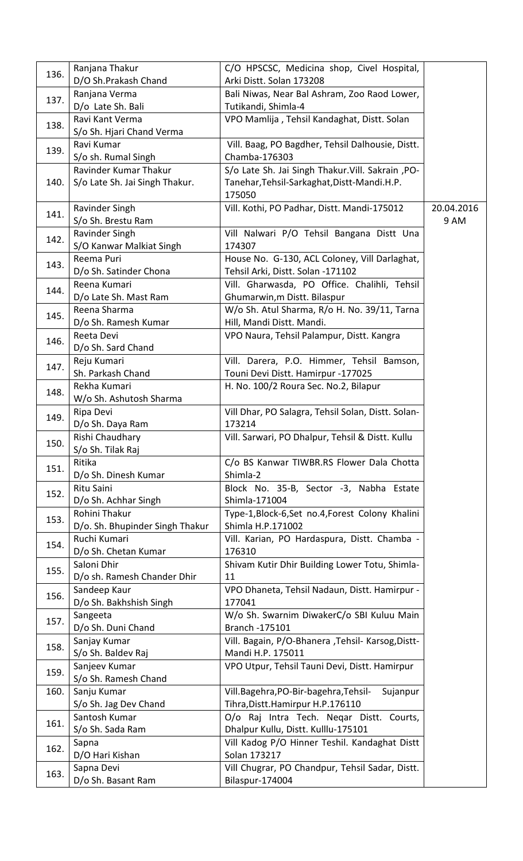| 136. | Ranjana Thakur<br>D/O Sh.Prakash Chand | C/O HPSCSC, Medicina shop, Civel Hospital,<br>Arki Distt. Solan 173208 |            |
|------|----------------------------------------|------------------------------------------------------------------------|------------|
|      | Ranjana Verma                          | Bali Niwas, Near Bal Ashram, Zoo Raod Lower,                           |            |
| 137. | D/o Late Sh. Bali                      | Tutikandi, Shimla-4                                                    |            |
|      | Ravi Kant Verma                        | VPO Mamlija, Tehsil Kandaghat, Distt. Solan                            |            |
| 138. | S/o Sh. Hjari Chand Verma              |                                                                        |            |
|      | Ravi Kumar                             | Vill. Baag, PO Bagdher, Tehsil Dalhousie, Distt.                       |            |
| 139. | S/o sh. Rumal Singh                    | Chamba-176303                                                          |            |
|      | Ravinder Kumar Thakur                  | S/o Late Sh. Jai Singh Thakur. Vill. Sakrain , PO-                     |            |
| 140. | S/o Late Sh. Jai Singh Thakur.         | Tanehar, Tehsil-Sarkaghat, Distt-Mandi.H.P.                            |            |
|      |                                        | 175050                                                                 |            |
|      | Ravinder Singh                         | Vill. Kothi, PO Padhar, Distt. Mandi-175012                            | 20.04.2016 |
| 141. | S/o Sh. Brestu Ram                     |                                                                        | 9 AM       |
|      | Ravinder Singh                         | Vill Nalwari P/O Tehsil Bangana Distt Una                              |            |
| 142. | S/O Kanwar Malkiat Singh               | 174307                                                                 |            |
|      | Reema Puri                             | House No. G-130, ACL Coloney, Vill Darlaghat,                          |            |
| 143. | D/o Sh. Satinder Chona                 | Tehsil Arki, Distt. Solan -171102                                      |            |
|      | Reena Kumari                           | Vill. Gharwasda, PO Office. Chalihli, Tehsil                           |            |
| 144. | D/o Late Sh. Mast Ram                  | Ghumarwin, m Distt. Bilaspur                                           |            |
| 145. | Reena Sharma                           | W/o Sh. Atul Sharma, R/o H. No. 39/11, Tarna                           |            |
|      | D/o Sh. Ramesh Kumar                   | Hill, Mandi Distt. Mandi.                                              |            |
| 146. | Reeta Devi                             | VPO Naura, Tehsil Palampur, Distt. Kangra                              |            |
|      | D/o Sh. Sard Chand                     |                                                                        |            |
| 147. | Reju Kumari                            | Vill. Darera, P.O. Himmer, Tehsil Bamson,                              |            |
|      | Sh. Parkash Chand                      | Touni Devi Distt. Hamirpur -177025                                     |            |
| 148. | Rekha Kumari                           | H. No. 100/2 Roura Sec. No.2, Bilapur                                  |            |
|      | W/o Sh. Ashutosh Sharma                |                                                                        |            |
| 149. | Ripa Devi                              | Vill Dhar, PO Salagra, Tehsil Solan, Distt. Solan-                     |            |
|      | D/o Sh. Daya Ram                       | 173214                                                                 |            |
| 150. | Rishi Chaudhary                        | Vill. Sarwari, PO Dhalpur, Tehsil & Distt. Kullu                       |            |
|      | S/o Sh. Tilak Raj                      |                                                                        |            |
| 151. | Ritika                                 | C/o BS Kanwar TIWBR.RS Flower Dala Chotta                              |            |
|      | D/o Sh. Dinesh Kumar                   | Shimla-2                                                               |            |
| 152. | Ritu Saini                             | Block No. 35-B, Sector -3, Nabha Estate<br>Shimla-171004               |            |
|      | D/o Sh. Achhar Singh<br>Rohini Thakur  | Type-1, Block-6, Set no.4, Forest Colony Khalini                       |            |
| 153. | D/o. Sh. Bhupinder Singh Thakur        | Shimla H.P.171002                                                      |            |
|      | Ruchi Kumari                           | Vill. Karian, PO Hardaspura, Distt. Chamba -                           |            |
| 154. | D/o Sh. Chetan Kumar                   | 176310                                                                 |            |
|      | Saloni Dhir                            | Shivam Kutir Dhir Building Lower Totu, Shimla-                         |            |
| 155. | D/o sh. Ramesh Chander Dhir            | 11                                                                     |            |
|      | Sandeep Kaur                           | VPO Dhaneta, Tehsil Nadaun, Distt. Hamirpur -                          |            |
| 156. | D/o Sh. Bakhshish Singh                | 177041                                                                 |            |
|      | Sangeeta                               | W/o Sh. Swarnim DiwakerC/o SBI Kuluu Main                              |            |
| 157. | D/o Sh. Duni Chand                     | Branch - 175101                                                        |            |
|      | Sanjay Kumar                           | Vill. Bagain, P/O-Bhanera , Tehsil- Karsog, Distt-                     |            |
| 158. | S/o Sh. Baldev Raj                     | Mandi H.P. 175011                                                      |            |
| 159. | Sanjeev Kumar                          | VPO Utpur, Tehsil Tauni Devi, Distt. Hamirpur                          |            |
|      | S/o Sh. Ramesh Chand                   |                                                                        |            |
| 160. | Sanju Kumar                            | Vill.Bagehra, PO-Bir-bagehra, Tehsil-<br>Sujanpur                      |            |
|      | S/o Sh. Jag Dev Chand                  | Tihra, Distt. Hamirpur H.P.176110                                      |            |
| 161. | Santosh Kumar                          | O/o Raj Intra Tech. Negar Distt. Courts,                               |            |
|      | S/o Sh. Sada Ram                       | Dhalpur Kullu, Distt. Kulllu-175101                                    |            |
| 162. | Sapna                                  | Vill Kadog P/O Hinner Teshil. Kandaghat Distt                          |            |
|      | D/O Hari Kishan                        | Solan 173217                                                           |            |
| 163. | Sapna Devi                             | Vill Chugrar, PO Chandpur, Tehsil Sadar, Distt.                        |            |
|      | D/o Sh. Basant Ram                     | Bilaspur-174004                                                        |            |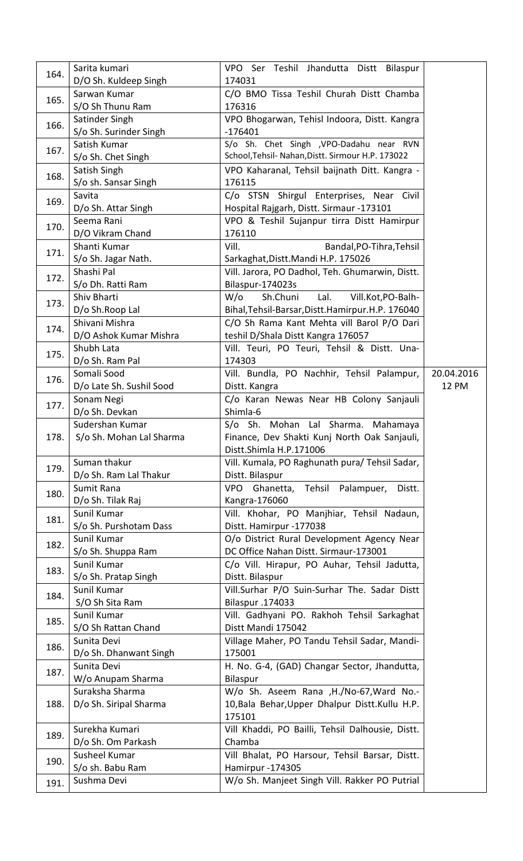| 164. | Sarita kumari                          | VPO Ser Teshil Jhandutta Distt Bilaspur                          |              |
|------|----------------------------------------|------------------------------------------------------------------|--------------|
|      | D/O Sh. Kuldeep Singh<br>Sarwan Kumar  | 174031<br>C/O BMO Tissa Teshil Churah Distt Chamba               |              |
| 165. | S/O Sh Thunu Ram                       | 176316                                                           |              |
|      |                                        |                                                                  |              |
| 166. | Satinder Singh                         | VPO Bhogarwan, Tehisl Indoora, Distt. Kangra<br>$-176401$        |              |
|      | S/o Sh. Surinder Singh<br>Satish Kumar | S/o Sh. Chet Singh , VPO-Dadahu near RVN                         |              |
| 167. |                                        | School, Tehsil- Nahan, Distt. Sirmour H.P. 173022                |              |
|      | S/o Sh. Chet Singh                     |                                                                  |              |
| 168. | Satish Singh                           | VPO Kaharanal, Tehsil baijnath Ditt. Kangra -                    |              |
|      | S/o sh. Sansar Singh                   | 176115                                                           |              |
| 169. | Savita                                 | C/o STSN Shirgul Enterprises, Near Civil                         |              |
|      | D/o Sh. Attar Singh                    | Hospital Rajgarh, Distt. Sirmaur -173101                         |              |
| 170. | Seema Rani                             | VPO & Teshil Sujanpur tirra Distt Hamirpur                       |              |
|      | D/O Vikram Chand                       | 176110                                                           |              |
| 171. | Shanti Kumar                           | Vill.<br>Bandal, PO-Tihra, Tehsil                                |              |
|      | S/o Sh. Jagar Nath.                    | Sarkaghat, Distt. Mandi H.P. 175026                              |              |
| 172. | Shashi Pal                             | Vill. Jarora, PO Dadhol, Teh. Ghumarwin, Distt.                  |              |
|      | S/o Dh. Ratti Ram                      | Bilaspur-174023s                                                 |              |
| 173. | Shiv Bharti                            | $W$ / $\circ$<br>Sh.Chuni<br>Lal.<br>Vill.Kot,PO-Balh-           |              |
|      | D/o Sh.Roop Lal                        | Bihal, Tehsil-Barsar, Distt. Hamirpur. H.P. 176040               |              |
| 174. | Shivani Mishra                         | C/O Sh Rama Kant Mehta vill Barol P/O Dari                       |              |
|      | D/O Ashok Kumar Mishra                 | teshil D/Shala Distt Kangra 176057                               |              |
| 175. | Shubh Lata                             | Vill. Teuri, PO Teuri, Tehsil & Distt. Una-                      |              |
|      | D/o Sh. Ram Pal                        | 174303                                                           |              |
| 176. | Somali Sood                            | Vill. Bundla, PO Nachhir, Tehsil Palampur,                       | 20.04.2016   |
|      | D/o Late Sh. Sushil Sood               | Distt. Kangra                                                    | <b>12 PM</b> |
| 177. | Sonam Negi                             | C/o Karan Newas Near HB Colony Sanjauli                          |              |
|      | D/o Sh. Devkan                         | Shimla-6                                                         |              |
|      | Sudershan Kumar                        | S/o Sh. Mohan Lal Sharma. Mahamaya                               |              |
| 178. | S/o Sh. Mohan Lal Sharma               | Finance, Dev Shakti Kunj North Oak Sanjauli,                     |              |
|      |                                        | Distt.Shimla H.P.171006                                          |              |
| 179. | Suman thakur                           | Vill. Kumala, PO Raghunath pura/ Tehsil Sadar,                   |              |
|      |                                        |                                                                  |              |
|      | D/o Sh. Ram Lal Thakur                 | Distt. Bilaspur                                                  |              |
| 180. | Sumit Rana                             | VPO<br>Ghanetta, Tehsil Palampuer,<br>Distt.                     |              |
|      | D/o Sh. Tilak Raj                      | Kangra-176060                                                    |              |
| 181. | Sunil Kumar                            | Vill. Khohar, PO Manjhiar, Tehsil Nadaun,                        |              |
|      | S/o Sh. Purshotam Dass                 | Distt. Hamirpur -177038                                          |              |
| 182. | Sunil Kumar                            | O/o District Rural Development Agency Near                       |              |
|      | S/o Sh. Shuppa Ram                     | DC Office Nahan Distt. Sirmaur-173001                            |              |
| 183. | Sunil Kumar                            | C/o Vill. Hirapur, PO Auhar, Tehsil Jadutta,                     |              |
|      | S/o Sh. Pratap Singh                   | Distt. Bilaspur                                                  |              |
| 184. | Sunil Kumar                            | Vill.Surhar P/O Suin-Surhar The. Sadar Distt                     |              |
|      | S/O Sh Sita Ram                        | Bilaspur .174033                                                 |              |
| 185. | Sunil Kumar                            | Vill. Gadhyani PO. Rakhoh Tehsil Sarkaghat                       |              |
|      | S/O Sh Rattan Chand                    | Distt Mandi 175042                                               |              |
| 186. | Sunita Devi                            | Village Maher, PO Tandu Tehsil Sadar, Mandi-                     |              |
|      | D/o Sh. Dhanwant Singh                 | 175001                                                           |              |
| 187. | Sunita Devi                            | H. No. G-4, (GAD) Changar Sector, Jhandutta,                     |              |
|      | W/o Anupam Sharma                      | Bilaspur                                                         |              |
|      | Suraksha Sharma                        | W/o Sh. Aseem Rana , H./No-67, Ward No.-                         |              |
| 188. | D/o Sh. Siripal Sharma                 | 10, Bala Behar, Upper Dhalpur Distt. Kullu H.P.                  |              |
|      |                                        | 175101                                                           |              |
| 189. | Surekha Kumari                         | Vill Khaddi, PO Bailli, Tehsil Dalhousie, Distt.                 |              |
|      | D/o Sh. Om Parkash                     | Chamba                                                           |              |
| 190. | Susheel Kumar                          | Vill Bhalat, PO Harsour, Tehsil Barsar, Distt.                   |              |
| 191. | S/o sh. Babu Ram<br>Sushma Devi        | Hamirpur-174305<br>W/o Sh. Manjeet Singh Vill. Rakker PO Putrial |              |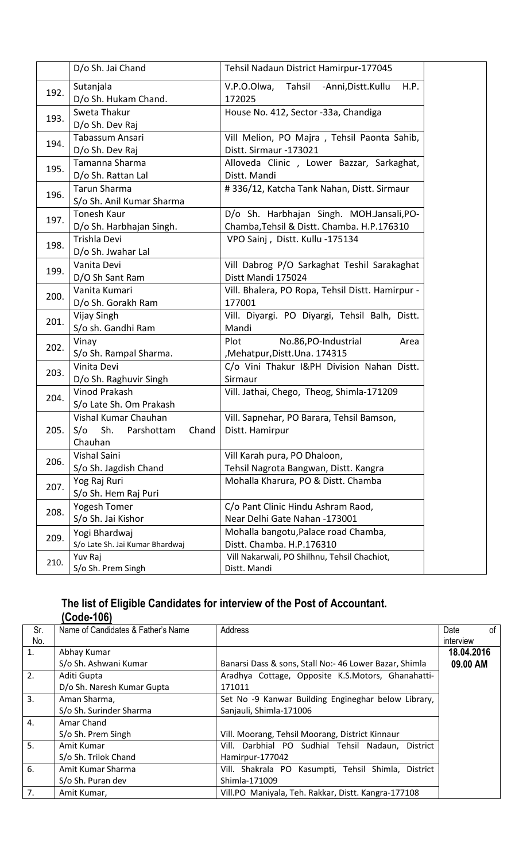|      | D/o Sh. Jai Chand                                                    | Tehsil Nadaun District Hamirpur-177045                                                  |
|------|----------------------------------------------------------------------|-----------------------------------------------------------------------------------------|
| 192. | Sutanjala<br>D/o Sh. Hukam Chand.                                    | V.P.O.Olwa,<br>Tahsil<br>H.P.<br>-Anni, Distt. Kullu<br>172025                          |
| 193. | Sweta Thakur<br>D/o Sh. Dev Raj                                      | House No. 412, Sector -33a, Chandiga                                                    |
| 194. | Tabassum Ansari<br>D/o Sh. Dev Raj                                   | Vill Melion, PO Majra, Tehsil Paonta Sahib,<br>Distt. Sirmaur -173021                   |
| 195. | Tamanna Sharma<br>D/o Sh. Rattan Lal                                 | Alloveda Clinic, Lower Bazzar, Sarkaghat,<br>Distt. Mandi                               |
| 196. | <b>Tarun Sharma</b><br>S/o Sh. Anil Kumar Sharma                     | #336/12, Katcha Tank Nahan, Distt. Sirmaur                                              |
| 197. | Tonesh Kaur<br>D/o Sh. Harbhajan Singh.                              | D/o Sh. Harbhajan Singh. MOH.Jansali, PO-<br>Chamba, Tehsil & Distt. Chamba. H.P.176310 |
| 198. | Trishla Devi<br>D/o Sh. Jwahar Lal                                   | VPO Sainj, Distt. Kullu -175134                                                         |
| 199. | Vanita Devi<br>D/O Sh Sant Ram                                       | Vill Dabrog P/O Sarkaghat Teshil Sarakaghat<br>Distt Mandi 175024                       |
| 200. | Vanita Kumari<br>D/o Sh. Gorakh Ram                                  | Vill. Bhalera, PO Ropa, Tehsil Distt. Hamirpur -<br>177001                              |
| 201. | Vijay Singh<br>S/o sh. Gandhi Ram                                    | Vill. Diyargi. PO Diyargi, Tehsil Balh, Distt.<br>Mandi                                 |
| 202. | Vinay<br>S/o Sh. Rampal Sharma.                                      | Plot<br>No.86, PO-Industrial<br>Area<br>Mehatpur, Distt. Una. 174315                    |
| 203. | Vinita Devi<br>D/o Sh. Raghuvir Singh                                | C/o Vini Thakur I&PH Division Nahan Distt.<br>Sirmaur                                   |
| 204. | <b>Vinod Prakash</b><br>S/o Late Sh. Om Prakash                      | Vill. Jathai, Chego, Theog, Shimla-171209                                               |
| 205. | Vishal Kumar Chauhan<br>Sh.<br>S/O<br>Parshottam<br>Chand<br>Chauhan | Vill. Sapnehar, PO Barara, Tehsil Bamson,<br>Distt. Hamirpur                            |
| 206. | Vishal Saini<br>S/o Sh. Jagdish Chand                                | Vill Karah pura, PO Dhaloon,<br>Tehsil Nagrota Bangwan, Distt. Kangra                   |
| 207. | Yog Raj Ruri<br>S/o Sh. Hem Raj Puri                                 | Mohalla Kharura, PO & Distt. Chamba                                                     |
| 208. | Yogesh Tomer<br>S/o Sh. Jai Kishor                                   | C/o Pant Clinic Hindu Ashram Raod,<br>Near Delhi Gate Nahan -173001                     |
| 209. | Yogi Bhardwaj<br>S/o Late Sh. Jai Kumar Bhardwaj                     | Mohalla bangotu, Palace road Chamba,<br>Distt. Chamba. H.P.176310                       |
| 210. | Yuv Raj<br>S/o Sh. Prem Singh                                        | Vill Nakarwali, PO Shilhnu, Tehsil Chachiot,<br>Distt. Mandi                            |

#### The list of Eligible Candidates for interview of the Post of Accountant. (Code-106)

| Sr.              | Name of Candidates & Father's Name | Address                                                | Date<br>0f |
|------------------|------------------------------------|--------------------------------------------------------|------------|
| No.              |                                    |                                                        | interview  |
| 1.               | Abhay Kumar                        |                                                        | 18.04.2016 |
|                  | S/o Sh. Ashwani Kumar              | Banarsi Dass & sons, Stall No:- 46 Lower Bazar, Shimla | 09.00 AM   |
| 2.               | Aditi Gupta                        | Aradhya Cottage, Opposite K.S.Motors, Ghanahatti-      |            |
|                  | D/o Sh. Naresh Kumar Gupta         | 171011                                                 |            |
| 3.               | Aman Sharma,                       | Set No -9 Kanwar Building Engineghar below Library,    |            |
|                  | S/o Sh. Surinder Sharma            | Sanjauli, Shimla-171006                                |            |
| $\overline{4}$ . | Amar Chand                         |                                                        |            |
|                  | S/o Sh. Prem Singh                 | Vill. Moorang, Tehsil Moorang, District Kinnaur        |            |
| 5 <sub>1</sub>   | Amit Kumar                         | Vill. Darbhial PO Sudhial Tehsil Nadaun, District      |            |
|                  | S/o Sh. Trilok Chand               | Hamirpur-177042                                        |            |
| 6.               | Amit Kumar Sharma                  | Vill. Shakrala PO Kasumpti, Tehsil Shimla, District    |            |
|                  | S/o Sh. Puran dev                  | Shimla-171009                                          |            |
| 7.               | Amit Kumar,                        | Vill.PO Maniyala, Teh. Rakkar, Distt. Kangra-177108    |            |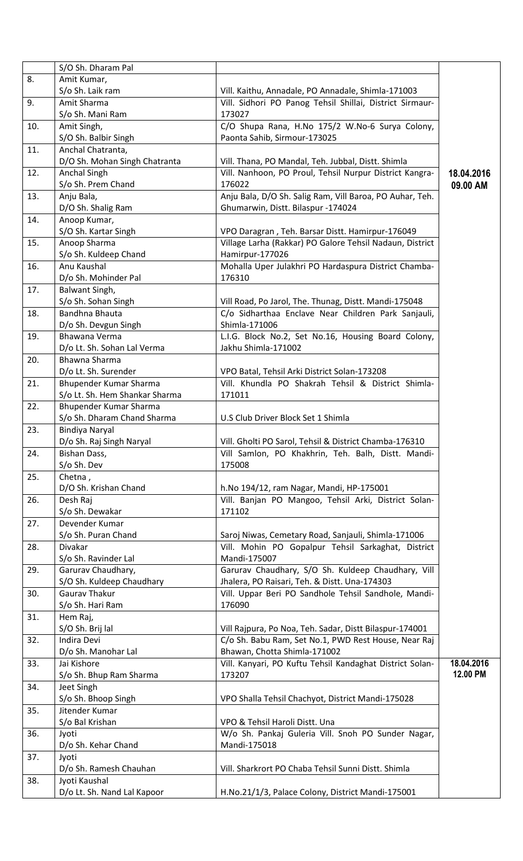|     | S/O Sh. Dharam Pal                                       |                                                                                                     |            |
|-----|----------------------------------------------------------|-----------------------------------------------------------------------------------------------------|------------|
| 8.  | Amit Kumar,                                              |                                                                                                     |            |
|     | S/o Sh. Laik ram                                         | Vill. Kaithu, Annadale, PO Annadale, Shimla-171003                                                  |            |
| 9.  | Amit Sharma                                              | Vill. Sidhori PO Panog Tehsil Shillai, District Sirmaur-                                            |            |
|     | S/o Sh. Mani Ram                                         | 173027                                                                                              |            |
| 10. | Amit Singh,                                              | C/O Shupa Rana, H.No 175/2 W.No-6 Surya Colony,                                                     |            |
| 11. | S/O Sh. Balbir Singh<br>Anchal Chatranta,                | Paonta Sahib, Sirmour-173025                                                                        |            |
|     | D/O Sh. Mohan Singh Chatranta                            | Vill. Thana, PO Mandal, Teh. Jubbal, Distt. Shimla                                                  |            |
| 12. | <b>Anchal Singh</b>                                      | Vill. Nanhoon, PO Proul, Tehsil Nurpur District Kangra-                                             | 18.04.2016 |
|     | S/o Sh. Prem Chand                                       | 176022                                                                                              | 09.00 AM   |
| 13. | Anju Bala,                                               | Anju Bala, D/O Sh. Salig Ram, Vill Baroa, PO Auhar, Teh.                                            |            |
|     | D/O Sh. Shalig Ram                                       | Ghumarwin, Distt. Bilaspur -174024                                                                  |            |
| 14. | Anoop Kumar,                                             |                                                                                                     |            |
|     | S/O Sh. Kartar Singh                                     | VPO Daragran, Teh. Barsar Distt. Hamirpur-176049                                                    |            |
| 15. | Anoop Sharma                                             | Village Larha (Rakkar) PO Galore Tehsil Nadaun, District                                            |            |
|     | S/o Sh. Kuldeep Chand                                    | Hamirpur-177026                                                                                     |            |
| 16. | Anu Kaushal                                              | Mohalla Uper Julakhri PO Hardaspura District Chamba-                                                |            |
|     | D/o Sh. Mohinder Pal                                     | 176310                                                                                              |            |
| 17. | Balwant Singh,                                           |                                                                                                     |            |
|     | S/o Sh. Sohan Singh                                      | Vill Road, Po Jarol, The. Thunag, Distt. Mandi-175048                                               |            |
| 18. | Bandhna Bhauta                                           | C/o Sidharthaa Enclave Near Children Park Sanjauli,                                                 |            |
|     | D/o Sh. Devgun Singh                                     | Shimla-171006                                                                                       |            |
| 19. | Bhawana Verma                                            | L.I.G. Block No.2, Set No.16, Housing Board Colony,                                                 |            |
|     | D/o Lt. Sh. Sohan Lal Verma                              | Jakhu Shimla-171002                                                                                 |            |
| 20. | Bhawna Sharma                                            |                                                                                                     |            |
| 21. | D/o Lt. Sh. Surender                                     | VPO Batal, Tehsil Arki District Solan-173208<br>Vill. Khundla PO Shakrah Tehsil & District Shimla-  |            |
|     | Bhupender Kumar Sharma<br>S/o Lt. Sh. Hem Shankar Sharma | 171011                                                                                              |            |
| 22. | Bhupender Kumar Sharma                                   |                                                                                                     |            |
|     | S/o Sh. Dharam Chand Sharma                              | U.S Club Driver Block Set 1 Shimla                                                                  |            |
| 23. | <b>Bindiya Naryal</b>                                    |                                                                                                     |            |
|     | D/o Sh. Raj Singh Naryal                                 | Vill. Gholti PO Sarol, Tehsil & District Chamba-176310                                              |            |
| 24. | Bishan Dass,                                             | Vill Samlon, PO Khakhrin, Teh. Balh, Distt. Mandi-                                                  |            |
|     | S/o Sh. Dev                                              | 175008                                                                                              |            |
| 25. | Chetna,                                                  |                                                                                                     |            |
|     | D/O Sh. Krishan Chand                                    | h.No 194/12, ram Nagar, Mandi, HP-175001                                                            |            |
| 26. | Desh Raj                                                 | Vill. Banjan PO Mangoo, Tehsil Arki, District Solan-                                                |            |
|     | S/o Sh. Dewakar                                          | 171102                                                                                              |            |
| 27. | Devender Kumar                                           |                                                                                                     |            |
|     | S/o Sh. Puran Chand                                      | Saroj Niwas, Cemetary Road, Sanjauli, Shimla-171006                                                 |            |
| 28. | <b>Divakar</b>                                           | Vill. Mohin PO Gopalpur Tehsil Sarkaghat, District                                                  |            |
|     | S/o Sh. Ravinder Lal                                     | Mandi-175007                                                                                        |            |
| 29. | Garurav Chaudhary,<br>S/O Sh. Kuldeep Chaudhary          | Garurav Chaudhary, S/O Sh. Kuldeep Chaudhary, Vill<br>Jhalera, PO Raisari, Teh. & Distt. Una-174303 |            |
| 30. | <b>Gaurav Thakur</b>                                     | Vill. Uppar Beri PO Sandhole Tehsil Sandhole, Mandi-                                                |            |
|     | S/o Sh. Hari Ram                                         | 176090                                                                                              |            |
| 31. | Hem Raj,                                                 |                                                                                                     |            |
|     | S/O Sh. Brij lal                                         | Vill Rajpura, Po Noa, Teh. Sadar, Distt Bilaspur-174001                                             |            |
| 32. | Indira Devi                                              | C/o Sh. Babu Ram, Set No.1, PWD Rest House, Near Raj                                                |            |
|     | D/o Sh. Manohar Lal                                      | Bhawan, Chotta Shimla-171002                                                                        |            |
| 33. | Jai Kishore                                              | Vill. Kanyari, PO Kuftu Tehsil Kandaghat District Solan-                                            | 18.04.2016 |
|     | S/o Sh. Bhup Ram Sharma                                  | 173207                                                                                              | 12.00 PM   |
| 34. | Jeet Singh                                               |                                                                                                     |            |
|     | S/o Sh. Bhoop Singh                                      | VPO Shalla Tehsil Chachyot, District Mandi-175028                                                   |            |
| 35. | Jitender Kumar                                           |                                                                                                     |            |
|     | S/o Bal Krishan                                          | VPO & Tehsil Haroli Distt. Una                                                                      |            |
| 36. | Jyoti                                                    | W/o Sh. Pankaj Guleria Vill. Snoh PO Sunder Nagar,                                                  |            |
|     | D/o Sh. Kehar Chand                                      | Mandi-175018                                                                                        |            |
| 37. | Jyoti<br>D/o Sh. Ramesh Chauhan                          | Vill. Sharkrort PO Chaba Tehsil Sunni Distt. Shimla                                                 |            |
| 38. | Jyoti Kaushal                                            |                                                                                                     |            |
|     | D/o Lt. Sh. Nand Lal Kapoor                              | H.No.21/1/3, Palace Colony, District Mandi-175001                                                   |            |
|     |                                                          |                                                                                                     |            |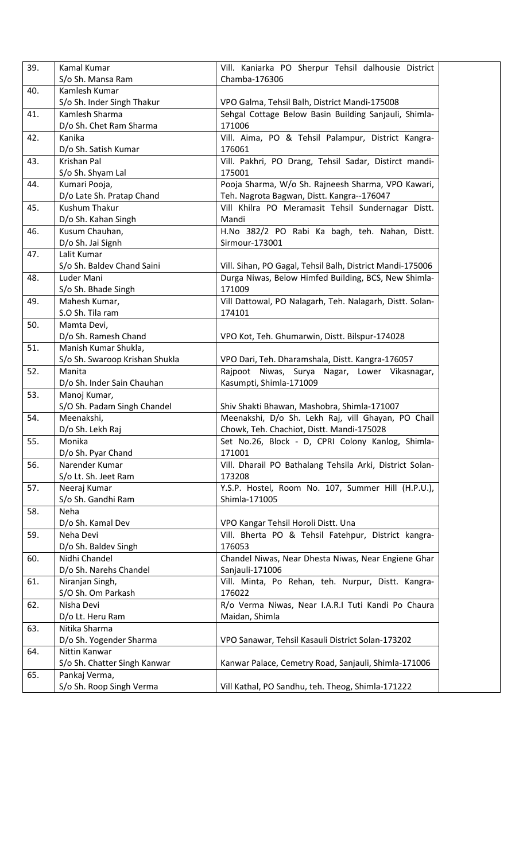| 39. | Kamal Kumar                                | Vill. Kaniarka PO Sherpur Tehsil dalhousie District                                               |
|-----|--------------------------------------------|---------------------------------------------------------------------------------------------------|
|     | S/o Sh. Mansa Ram                          | Chamba-176306                                                                                     |
| 40. | Kamlesh Kumar                              |                                                                                                   |
|     | S/o Sh. Inder Singh Thakur                 | VPO Galma, Tehsil Balh, District Mandi-175008                                                     |
| 41. | Kamlesh Sharma                             | Sehgal Cottage Below Basin Building Sanjauli, Shimla-                                             |
|     | D/o Sh. Chet Ram Sharma                    | 171006                                                                                            |
| 42. | Kanika                                     | Vill. Aima, PO & Tehsil Palampur, District Kangra-                                                |
|     | D/o Sh. Satish Kumar                       | 176061                                                                                            |
| 43. | Krishan Pal                                | Vill. Pakhri, PO Drang, Tehsil Sadar, Distirct mandi-                                             |
|     | S/o Sh. Shyam Lal                          | 175001                                                                                            |
| 44. | Kumari Pooja,                              | Pooja Sharma, W/o Sh. Rajneesh Sharma, VPO Kawari,                                                |
|     | D/o Late Sh. Pratap Chand                  | Teh. Nagrota Bagwan, Distt. Kangra--176047                                                        |
| 45. | <b>Kushum Thakur</b>                       | Vill Khilra PO Meramasit Tehsil Sundernagar Distt.                                                |
|     | D/o Sh. Kahan Singh                        | Mandi                                                                                             |
| 46. | Kusum Chauhan,                             | H.No 382/2 PO Rabi Ka bagh, teh. Nahan, Distt.                                                    |
|     | D/o Sh. Jai Signh                          | Sirmour-173001                                                                                    |
| 47. | Lalit Kumar                                |                                                                                                   |
|     | S/o Sh. Baldev Chand Saini                 | Vill. Sihan, PO Gagal, Tehsil Balh, District Mandi-175006                                         |
| 48. | Luder Mani                                 | Durga Niwas, Below Himfed Building, BCS, New Shimla-                                              |
|     | S/o Sh. Bhade Singh                        | 171009                                                                                            |
| 49. | Mahesh Kumar,                              | Vill Dattowal, PO Nalagarh, Teh. Nalagarh, Distt. Solan-                                          |
|     | S.O Sh. Tila ram                           | 174101                                                                                            |
| 50. | Mamta Devi,                                |                                                                                                   |
|     | D/o Sh. Ramesh Chand                       | VPO Kot, Teh. Ghumarwin, Distt. Bilspur-174028                                                    |
| 51. | Manish Kumar Shukla,                       |                                                                                                   |
|     | S/o Sh. Swaroop Krishan Shukla             | VPO Dari, Teh. Dharamshala, Distt. Kangra-176057                                                  |
| 52. | Manita                                     | Rajpoot Niwas, Surya Nagar, Lower Vikasnagar,                                                     |
| 53. | D/o Sh. Inder Sain Chauhan<br>Manoj Kumar, | Kasumpti, Shimla-171009                                                                           |
|     |                                            |                                                                                                   |
| 54. | S/O Sh. Padam Singh Chandel<br>Meenakshi,  | Shiv Shakti Bhawan, Mashobra, Shimla-171007<br>Meenakshi, D/o Sh. Lekh Raj, vill Ghayan, PO Chail |
|     | D/o Sh. Lekh Raj                           | Chowk, Teh. Chachiot, Distt. Mandi-175028                                                         |
| 55. | Monika                                     | Set No.26, Block - D, CPRI Colony Kanlog, Shimla-                                                 |
|     | D/o Sh. Pyar Chand                         | 171001                                                                                            |
| 56. | Narender Kumar                             | Vill. Dharail PO Bathalang Tehsila Arki, District Solan-                                          |
|     | S/o Lt. Sh. Jeet Ram                       | 173208                                                                                            |
| 57. | Neeraj Kumar                               | Y.S.P. Hostel, Room No. 107, Summer Hill (H.P.U.),                                                |
|     | S/o Sh. Gandhi Ram                         | Shimla-171005                                                                                     |
| 58. | Neha                                       |                                                                                                   |
|     | D/o Sh. Kamal Dev                          | VPO Kangar Tehsil Horoli Distt. Una                                                               |
| 59. | Neha Devi                                  | Vill. Bherta PO & Tehsil Fatehpur, District kangra-                                               |
|     | D/o Sh. Baldev Singh                       | 176053                                                                                            |
| 60. | Nidhi Chandel                              | Chandel Niwas, Near Dhesta Niwas, Near Engiene Ghar                                               |
|     | D/o Sh. Narehs Chandel                     | Sanjauli-171006                                                                                   |
| 61. | Niranjan Singh,                            | Vill. Minta, Po Rehan, teh. Nurpur, Distt. Kangra-                                                |
|     | S/O Sh. Om Parkash                         | 176022                                                                                            |
| 62. | Nisha Devi                                 | R/o Verma Niwas, Near I.A.R.I Tuti Kandi Po Chaura                                                |
|     | D/o Lt. Heru Ram                           | Maidan, Shimla                                                                                    |
| 63. | Nitika Sharma                              |                                                                                                   |
|     | D/o Sh. Yogender Sharma                    | VPO Sanawar, Tehsil Kasauli District Solan-173202                                                 |
| 64. | Nittin Kanwar                              |                                                                                                   |
|     | S/o Sh. Chatter Singh Kanwar               | Kanwar Palace, Cemetry Road, Sanjauli, Shimla-171006                                              |
| 65. | Pankaj Verma,                              |                                                                                                   |
|     | S/o Sh. Roop Singh Verma                   | Vill Kathal, PO Sandhu, teh. Theog, Shimla-171222                                                 |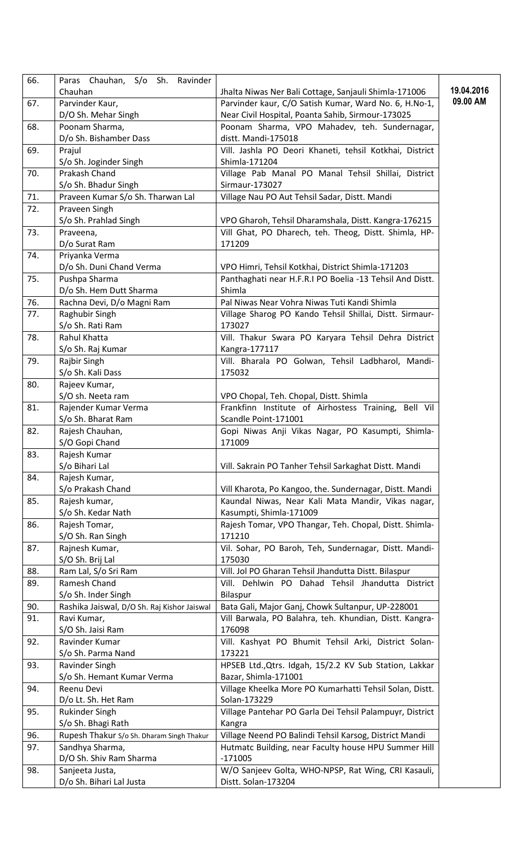| 66. | Paras Chauhan, S/o Sh. Ravinder             |                                                                   |            |
|-----|---------------------------------------------|-------------------------------------------------------------------|------------|
|     | Chauhan                                     | Jhalta Niwas Ner Bali Cottage, Sanjauli Shimla-171006             | 19.04.2016 |
| 67. | Parvinder Kaur,                             | Parvinder kaur, C/O Satish Kumar, Ward No. 6, H.No-1,             | 09.00 AM   |
|     | D/O Sh. Mehar Singh                         | Near Civil Hospital, Poanta Sahib, Sirmour-173025                 |            |
| 68. | Poonam Sharma,                              | Poonam Sharma, VPO Mahadev, teh. Sundernagar,                     |            |
|     | D/o Sh. Bishamber Dass                      | distt. Mandi-175018                                               |            |
| 69. | Prajul                                      | Vill. Jashla PO Deori Khaneti, tehsil Kotkhai, District           |            |
|     | S/o Sh. Joginder Singh                      | Shimla-171204                                                     |            |
| 70. | Prakash Chand                               | Village Pab Manal PO Manal Tehsil Shillai, District               |            |
|     | S/o Sh. Bhadur Singh                        | Sirmaur-173027                                                    |            |
| 71. | Praveen Kumar S/o Sh. Tharwan Lal           | Village Nau PO Aut Tehsil Sadar, Distt. Mandi                     |            |
| 72. | Praveen Singh                               |                                                                   |            |
|     | S/o Sh. Prahlad Singh                       | VPO Gharoh, Tehsil Dharamshala, Distt. Kangra-176215              |            |
| 73. | Praveena,                                   | Vill Ghat, PO Dharech, teh. Theog, Distt. Shimla, HP-             |            |
|     | D/o Surat Ram                               | 171209                                                            |            |
| 74. | Priyanka Verma                              |                                                                   |            |
|     | D/o Sh. Duni Chand Verma                    | VPO Himri, Tehsil Kotkhai, District Shimla-171203                 |            |
| 75. | Pushpa Sharma                               | Panthaghati near H.F.R.I PO Boelia -13 Tehsil And Distt.          |            |
|     | D/o Sh. Hem Dutt Sharma                     | Shimla                                                            |            |
| 76. | Rachna Devi, D/o Magni Ram                  | Pal Niwas Near Vohra Niwas Tuti Kandi Shimla                      |            |
| 77. | Raghubir Singh                              | Village Sharog PO Kando Tehsil Shillai, Distt. Sirmaur-           |            |
|     | S/o Sh. Rati Ram                            | 173027                                                            |            |
| 78. | Rahul Khatta                                | Vill. Thakur Swara PO Karyara Tehsil Dehra District               |            |
|     | S/o Sh. Raj Kumar                           | Kangra-177117                                                     |            |
| 79. | Rajbir Singh                                | Vill. Bharala PO Golwan, Tehsil Ladbharol, Mandi-                 |            |
|     | S/o Sh. Kali Dass                           | 175032                                                            |            |
| 80. | Rajeev Kumar,                               |                                                                   |            |
|     | S/O sh. Neeta ram                           | VPO Chopal, Teh. Chopal, Distt. Shimla                            |            |
| 81. | Rajender Kumar Verma                        | Frankfinn Institute of Airhostess Training, Bell Vil              |            |
|     | S/o Sh. Bharat Ram                          | Scandle Point-171001                                              |            |
| 82. | Rajesh Chauhan,                             | Gopi Niwas Anji Vikas Nagar, PO Kasumpti, Shimla-                 |            |
|     | S/O Gopi Chand                              | 171009                                                            |            |
| 83. | Rajesh Kumar                                |                                                                   |            |
|     | S/o Bihari Lal                              | Vill. Sakrain PO Tanher Tehsil Sarkaghat Distt. Mandi             |            |
| 84. | Rajesh Kumar,                               |                                                                   |            |
|     | S/o Prakash Chand                           | Vill Kharota, Po Kangoo, the. Sundernagar, Distt. Mandi           |            |
| 85. | Rajesh kumar,                               | Kaundal Niwas, Near Kali Mata Mandir, Vikas nagar,                |            |
|     | S/o Sh. Kedar Nath                          | Kasumpti, Shimla-171009                                           |            |
| 86. | Rajesh Tomar,                               | Rajesh Tomar, VPO Thangar, Teh. Chopal, Distt. Shimla-            |            |
|     | S/O Sh. Ran Singh                           | 171210                                                            |            |
| 87. | Rajnesh Kumar,                              | Vil. Sohar, PO Baroh, Teh, Sundernagar, Distt. Mandi-             |            |
|     | S/O Sh. Brij Lal                            | 175030                                                            |            |
| 88. | Ram Lal, S/o Sri Ram                        | Vill. Jol PO Gharan Tehsil Jhandutta Distt. Bilaspur              |            |
| 89. | Ramesh Chand                                | Vill. Dehlwin PO Dahad Tehsil Jhandutta District                  |            |
|     | S/o Sh. Inder Singh                         | Bilaspur                                                          |            |
| 90. | Rashika Jaiswal, D/O Sh. Raj Kishor Jaiswal | Bata Gali, Major Ganj, Chowk Sultanpur, UP-228001                 |            |
| 91. | Ravi Kumar,                                 | Vill Barwala, PO Balahra, teh. Khundian, Distt. Kangra-           |            |
|     | S/O Sh. Jaisi Ram                           | 176098                                                            |            |
| 92. | Ravinder Kumar                              | Vill. Kashyat PO Bhumit Tehsil Arki, District Solan-              |            |
|     | S/o Sh. Parma Nand                          | 173221                                                            |            |
| 93. | Ravinder Singh                              | HPSEB Ltd., Qtrs. Idgah, 15/2.2 KV Sub Station, Lakkar            |            |
|     | S/o Sh. Hemant Kumar Verma                  | Bazar, Shimla-171001                                              |            |
| 94. | Reenu Devi                                  | Village Kheelka More PO Kumarhatti Tehsil Solan, Distt.           |            |
|     | D/o Lt. Sh. Het Ram                         | Solan-173229                                                      |            |
|     |                                             |                                                                   |            |
| 95. | <b>Rukinder Singh</b>                       | Village Pantehar PO Garla Dei Tehsil Palampuyr, District          |            |
| 96. | S/o Sh. Bhagi Rath                          | Kangra<br>Village Neend PO Balindi Tehsil Karsog, District Mandi  |            |
|     | Rupesh Thakur S/o Sh. Dharam Singh Thakur   |                                                                   |            |
| 97. | Sandhya Sharma,                             | Hutmatc Building, near Faculty house HPU Summer Hill<br>$-171005$ |            |
|     | D/O Sh. Shiv Ram Sharma                     |                                                                   |            |
| 98. | Sanjeeta Justa,                             | W/O Sanjeev Golta, WHO-NPSP, Rat Wing, CRI Kasauli,               |            |
|     | D/o Sh. Bihari Lal Justa                    | Distt. Solan-173204                                               |            |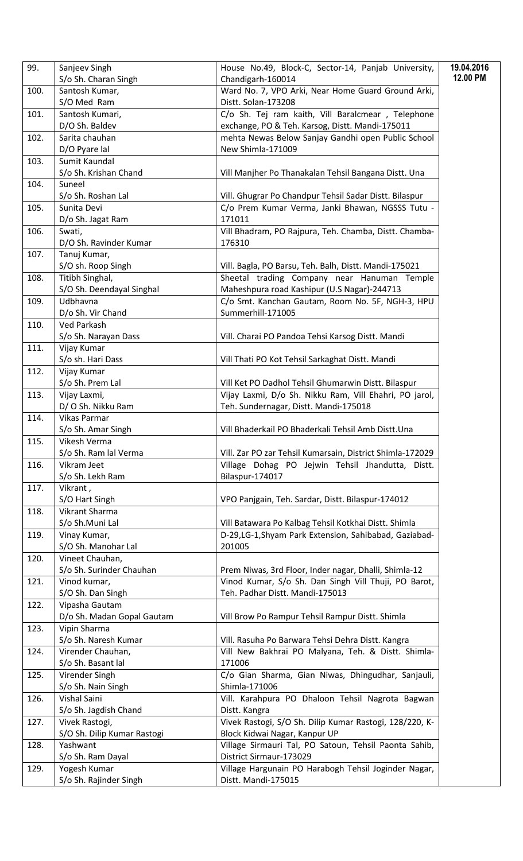| 99.  | Sanjeev Singh                | House No.49, Block-C, Sector-14, Panjab University,                 | 19.04.2016 |
|------|------------------------------|---------------------------------------------------------------------|------------|
|      | S/o Sh. Charan Singh         | Chandigarh-160014                                                   | 12.00 PM   |
| 100. | Santosh Kumar,               | Ward No. 7, VPO Arki, Near Home Guard Ground Arki,                  |            |
|      | S/O Med Ram                  | Distt. Solan-173208                                                 |            |
| 101. | Santosh Kumari,              | C/o Sh. Tej ram kaith, Vill Baralcmear, Telephone                   |            |
|      | D/O Sh. Baldev               | exchange, PO & Teh. Karsog, Distt. Mandi-175011                     |            |
| 102. | Sarita chauhan               | mehta Newas Below Sanjay Gandhi open Public School                  |            |
|      | D/O Pyare lal                | New Shimla-171009                                                   |            |
| 103. | Sumit Kaundal                |                                                                     |            |
|      | S/o Sh. Krishan Chand        | Vill Manjher Po Thanakalan Tehsil Bangana Distt. Una                |            |
| 104. | Suneel                       |                                                                     |            |
|      | S/o Sh. Roshan Lal           | Vill. Ghugrar Po Chandpur Tehsil Sadar Distt. Bilaspur              |            |
| 105. | Sunita Devi                  | C/o Prem Kumar Verma, Janki Bhawan, NGSSS Tutu -                    |            |
|      | D/o Sh. Jagat Ram            | 171011                                                              |            |
| 106. | Swati,                       | Vill Bhadram, PO Rajpura, Teh. Chamba, Distt. Chamba-               |            |
|      | D/O Sh. Ravinder Kumar       | 176310                                                              |            |
| 107. | Tanuj Kumar,                 |                                                                     |            |
|      | S/O sh. Roop Singh           | Vill. Bagla, PO Barsu, Teh. Balh, Distt. Mandi-175021               |            |
| 108. | Titibh Singhal,              | Sheetal trading Company near Hanuman Temple                         |            |
|      | S/O Sh. Deendayal Singhal    | Maheshpura road Kashipur (U.S Nagar)-244713                         |            |
| 109. | Udbhavna                     | C/o Smt. Kanchan Gautam, Room No. 5F, NGH-3, HPU                    |            |
|      | D/o Sh. Vir Chand            | Summerhill-171005                                                   |            |
| 110. | Ved Parkash                  |                                                                     |            |
|      | S/o Sh. Narayan Dass         | Vill. Charai PO Pandoa Tehsi Karsog Distt. Mandi                    |            |
| 111. | Vijay Kumar                  |                                                                     |            |
|      | S/o sh. Hari Dass            | Vill Thati PO Kot Tehsil Sarkaghat Distt. Mandi                     |            |
| 112. | Vijay Kumar                  |                                                                     |            |
|      | S/o Sh. Prem Lal             | Vill Ket PO Dadhol Tehsil Ghumarwin Distt. Bilaspur                 |            |
| 113. | Vijay Laxmi,                 | Vijay Laxmi, D/o Sh. Nikku Ram, Vill Ehahri, PO jarol,              |            |
|      | D/O Sh. Nikku Ram            | Teh. Sundernagar, Distt. Mandi-175018                               |            |
| 114. | Vikas Parmar                 |                                                                     |            |
|      | S/o Sh. Amar Singh           | Vill Bhaderkail PO Bhaderkali Tehsil Amb Distt. Una                 |            |
| 115. | Vikesh Verma                 |                                                                     |            |
|      | S/o Sh. Ram lal Verma        | Vill. Zar PO zar Tehsil Kumarsain, District Shimla-172029           |            |
| 116. | Vikram Jeet                  | Village Dohag PO Jejwin Tehsil Jhandutta, Distt.<br>Bilaspur-174017 |            |
| 117. | S/o Sh. Lekh Ram<br>Vikrant, |                                                                     |            |
|      | S/O Hart Singh               | VPO Panjgain, Teh. Sardar, Distt. Bilaspur-174012                   |            |
| 118. | Vikrant Sharma               |                                                                     |            |
|      | S/o Sh.Muni Lal              | Vill Batawara Po Kalbag Tehsil Kotkhai Distt. Shimla                |            |
| 119. | Vinay Kumar,                 | D-29,LG-1,Shyam Park Extension, Sahibabad, Gaziabad-                |            |
|      | S/O Sh. Manohar Lal          | 201005                                                              |            |
| 120. | Vineet Chauhan,              |                                                                     |            |
|      | S/o Sh. Surinder Chauhan     | Prem Niwas, 3rd Floor, Inder nagar, Dhalli, Shimla-12               |            |
| 121. | Vinod kumar,                 | Vinod Kumar, S/o Sh. Dan Singh Vill Thuji, PO Barot,                |            |
|      | S/O Sh. Dan Singh            | Teh. Padhar Distt. Mandi-175013                                     |            |
| 122. | Vipasha Gautam               |                                                                     |            |
|      | D/o Sh. Madan Gopal Gautam   | Vill Brow Po Rampur Tehsil Rampur Distt. Shimla                     |            |
| 123. | Vipin Sharma                 |                                                                     |            |
|      | S/o Sh. Naresh Kumar         | Vill. Rasuha Po Barwara Tehsi Dehra Distt. Kangra                   |            |
| 124. | Virender Chauhan,            | Vill New Bakhrai PO Malyana, Teh. & Distt. Shimla-                  |            |
|      | S/o Sh. Basant lal           | 171006                                                              |            |
| 125. | Virender Singh               | C/o Gian Sharma, Gian Niwas, Dhingudhar, Sanjauli,                  |            |
|      | S/o Sh. Nain Singh           | Shimla-171006                                                       |            |
| 126. | Vishal Saini                 | Vill. Karahpura PO Dhaloon Tehsil Nagrota Bagwan                    |            |
|      | S/o Sh. Jagdish Chand        | Distt. Kangra                                                       |            |
| 127. | Vivek Rastogi,               | Vivek Rastogi, S/O Sh. Dilip Kumar Rastogi, 128/220, K-             |            |
|      | S/O Sh. Dilip Kumar Rastogi  | Block Kidwai Nagar, Kanpur UP                                       |            |
| 128. | Yashwant                     | Village Sirmauri Tal, PO Satoun, Tehsil Paonta Sahib,               |            |
|      | S/o Sh. Ram Dayal            | District Sirmaur-173029                                             |            |
| 129. | Yogesh Kumar                 | Village Hargunain PO Harabogh Tehsil Joginder Nagar,                |            |
|      | S/o Sh. Rajinder Singh       | Distt. Mandi-175015                                                 |            |
|      |                              |                                                                     |            |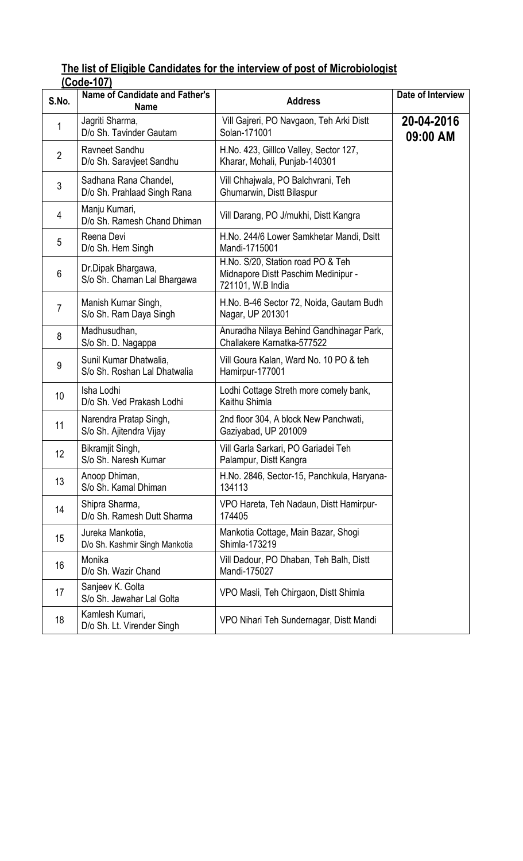#### The list of Eligible Candidates for the interview of post of Microbiologist (Code-107)

| S.No.          | Name of Candidate and Father's<br><b>Name</b>          | <b>Address</b>                                                                                | Date of Interview      |
|----------------|--------------------------------------------------------|-----------------------------------------------------------------------------------------------|------------------------|
| 1              | Jagriti Sharma,<br>D/o Sh. Tavinder Gautam             | Vill Gajreri, PO Navgaon, Teh Arki Distt<br>Solan-171001                                      | 20-04-2016<br>09:00 AM |
| $\overline{2}$ | Ravneet Sandhu<br>D/o Sh. Saravjeet Sandhu             | H.No. 423, Gillico Valley, Sector 127,<br>Kharar, Mohali, Punjab-140301                       |                        |
| 3              | Sadhana Rana Chandel,<br>D/o Sh. Prahlaad Singh Rana   | Vill Chhajwala, PO Balchvrani, Teh<br>Ghumarwin, Distt Bilaspur                               |                        |
| 4              | Manju Kumari,<br>D/o Sh. Ramesh Chand Dhiman           | Vill Darang, PO J/mukhi, Distt Kangra                                                         |                        |
| 5              | Reena Devi<br>D/o Sh. Hem Singh                        | H.No. 244/6 Lower Samkhetar Mandi, Dsitt<br>Mandi-1715001                                     |                        |
| 6              | Dr.Dipak Bhargawa,<br>S/o Sh. Chaman Lal Bhargawa      | H.No. S/20, Station road PO & Teh<br>Midnapore Distt Paschim Medinipur -<br>721101, W.B India |                        |
| $\overline{7}$ | Manish Kumar Singh,<br>S/o Sh. Ram Daya Singh          | H.No. B-46 Sector 72, Noida, Gautam Budh<br>Nagar, UP 201301                                  |                        |
| 8              | Madhusudhan,<br>S/o Sh. D. Nagappa                     | Anuradha Nilaya Behind Gandhinagar Park,<br>Challakere Karnatka-577522                        |                        |
| 9              | Sunil Kumar Dhatwalia,<br>S/o Sh. Roshan Lal Dhatwalia | Vill Goura Kalan, Ward No. 10 PO & teh<br>Hamirpur-177001                                     |                        |
| 10             | Isha Lodhi<br>D/o Sh. Ved Prakash Lodhi                | Lodhi Cottage Streth more comely bank,<br>Kaithu Shimla                                       |                        |
| 11             | Narendra Pratap Singh,<br>S/o Sh. Ajitendra Vijay      | 2nd floor 304, A block New Panchwati,<br>Gaziyabad, UP 201009                                 |                        |
| 12             | Bikramjit Singh,<br>S/o Sh. Naresh Kumar               | Vill Garla Sarkari, PO Gariadei Teh<br>Palampur, Distt Kangra                                 |                        |
| 13             | Anoop Dhiman,<br>S/o Sh. Kamal Dhiman                  | H.No. 2846, Sector-15, Panchkula, Haryana-<br>134113                                          |                        |
| 14             | Shipra Sharma,<br>D/o Sh. Ramesh Dutt Sharma           | VPO Hareta, Teh Nadaun, Distt Hamirpur-<br>174405                                             |                        |
| 15             | Jureka Mankotia,<br>D/o Sh. Kashmir Singh Mankotia     | Mankotia Cottage, Main Bazar, Shogi<br>Shimla-173219                                          |                        |
| 16             | Monika<br>D/o Sh. Wazir Chand                          | Vill Dadour, PO Dhaban, Teh Balh, Distt<br>Mandi-175027                                       |                        |
| 17             | Sanjeev K. Golta<br>S/o Sh. Jawahar Lal Golta          | VPO Masli, Teh Chirgaon, Distt Shimla                                                         |                        |
| 18             | Kamlesh Kumari,<br>D/o Sh. Lt. Virender Singh          | VPO Nihari Teh Sundernagar, Distt Mandi                                                       |                        |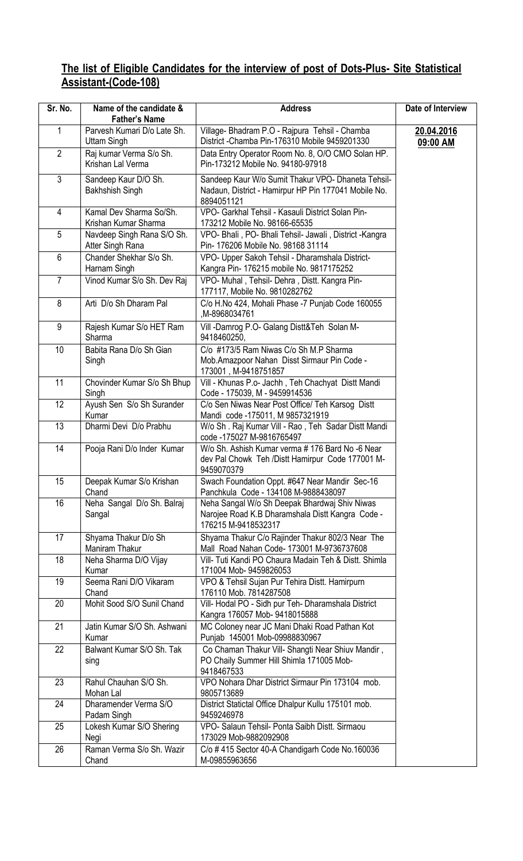#### The list of Eligible Candidates for the interview of post of Dots-Plus- Site Statistical Assistant-(Code-108)

| Sr. No.        | Name of the candidate &<br><b>Father's Name</b>   | <b>Address</b>                                                                                                           | Date of Interview      |
|----------------|---------------------------------------------------|--------------------------------------------------------------------------------------------------------------------------|------------------------|
| 1              | Parvesh Kumari D/o Late Sh.<br><b>Uttam Singh</b> | Village- Bhadram P.O - Rajpura Tehsil - Chamba<br>District - Chamba Pin-176310 Mobile 9459201330                         | 20.04.2016<br>09:00 AM |
| $\overline{2}$ | Raj kumar Verma S/o Sh.<br>Krishan Lal Verma      | Data Entry Operator Room No. 8, O/O CMO Solan HP.<br>Pin-173212 Mobile No. 94180-97918                                   |                        |
| $\mathfrak{S}$ | Sandeep Kaur D/O Sh.<br><b>Bakhshish Singh</b>    | Sandeep Kaur W/o Sumit Thakur VPO- Dhaneta Tehsil-<br>Nadaun, District - Hamirpur HP Pin 177041 Mobile No.<br>8894051121 |                        |
| 4              | Kamal Dev Sharma So/Sh.<br>Krishan Kumar Sharma   | VPO- Garkhal Tehsil - Kasauli District Solan Pin-<br>173212 Mobile No. 98166-65535                                       |                        |
| 5              | Navdeep Singh Rana S/O Sh.<br>Atter Singh Rana    | VPO- Bhali, PO- Bhali Tehsil- Jawali, District -Kangra<br>Pin- 176206 Mobile No. 98168 31114                             |                        |
| 6              | Chander Shekhar S/o Sh.<br>Harnam Singh           | VPO- Upper Sakoh Tehsil - Dharamshala District-<br>Kangra Pin-176215 mobile No. 9817175252                               |                        |
| $\overline{7}$ | Vinod Kumar S/o Sh. Dev Raj                       | VPO- Muhal, Tehsil- Dehra, Distt. Kangra Pin-<br>177117, Mobile No. 9810282762                                           |                        |
| 8              | Arti D/o Sh Dharam Pal                            | C/o H.No 424, Mohali Phase -7 Punjab Code 160055<br>M-8968034761,                                                        |                        |
| 9              | Rajesh Kumar S/o HET Ram<br>Sharma                | Vill -Damrog P.O- Galang Distt&Teh Solan M-<br>9418460250,                                                               |                        |
| 10             | Babita Rana D/o Sh Gian<br>Singh                  | C/o #173/5 Ram Niwas C/o Sh M.P Sharma<br>Mob.Amazpoor Nahan Disst Sirmaur Pin Code -<br>173001, M-9418751857            |                        |
| 11             | Chovinder Kumar S/o Sh Bhup<br>Singh              | Vill - Khunas P.o- Jachh, Teh Chachyat Distt Mandi<br>Code - 175039, M - 9459914536                                      |                        |
| 12             | Ayush Sen S/o Sh Surander<br>Kumar                | C/o Sen Niwas Near Post Office/ Teh Karsog Distt<br>Mandi code -175011, M 9857321919                                     |                        |
| 13             | Dharmi Devi D/o Prabhu                            | W/o Sh. Raj Kumar Vill - Rao, Teh Sadar Distt Mandi<br>code -175027 M-9816765497                                         |                        |
| 14             | Pooja Rani D/o Inder Kumar                        | W/o Sh. Ashish Kumar verma # 176 Bard No -6 Near<br>dev Pal Chowk Teh / Distt Hamirpur Code 177001 M-<br>9459070379      |                        |
| 15             | Deepak Kumar S/o Krishan<br>Chand                 | Swach Foundation Oppt. #647 Near Mandir Sec-16<br>Panchkula Code - 134108 M-9888438097                                   |                        |
| 16             | Neha Sangal D/o Sh. Balraj<br>Sangal              | Neha Sangal W/o Sh Deepak Bhardwaj Shiv Niwas<br>Narojee Road K.B Dharamshala Distt Kangra Code -<br>176215 M-9418532317 |                        |
| 17             | Shyama Thakur D/o Sh<br>Maniram Thakur            | Shyama Thakur C/o Rajinder Thakur 802/3 Near The<br>Mall Road Nahan Code-173001 M-9736737608                             |                        |
| 18             | Neha Sharma D/O Vijay<br>Kumar                    | Vill- Tuti Kandi PO Chaura Madain Teh & Distt. Shimla<br>171004 Mob-9459826053                                           |                        |
| 19             | Seema Rani D/O Vikaram<br>Chand                   | VPO & Tehsil Sujan Pur Tehira Distt. Hamirpurn<br>176110 Mob. 7814287508                                                 |                        |
| 20             | Mohit Sood S/O Sunil Chand                        | Vill- Hodal PO - Sidh pur Teh- Dharamshala District<br>Kangra 176057 Mob- 9418015888                                     |                        |
| 21             | Jatin Kumar S/O Sh. Ashwani<br>Kumar              | MC Coloney near JC Mani Dhaki Road Pathan Kot<br>Punjab 145001 Mob-09988830967                                           |                        |
| 22             | Balwant Kumar S/O Sh. Tak<br>sing                 | Co Chaman Thakur Vill- Shangti Near Shiuv Mandir,<br>PO Chaily Summer Hill Shimla 171005 Mob-<br>9418467533              |                        |
| 23             | Rahul Chauhan S/O Sh.<br>Mohan Lal                | VPO Nohara Dhar District Sirmaur Pin 173104 mob.<br>9805713689                                                           |                        |
| 24             | Dharamender Verma S/O<br>Padam Singh              | District Statictal Office Dhalpur Kullu 175101 mob.<br>9459246978                                                        |                        |
| 25             | Lokesh Kumar S/O Shering<br>Negi                  | VPO- Salaun Tehsil- Ponta Saibh Distt. Sirmaou<br>173029 Mob-9882092908                                                  |                        |
| 26             | Raman Verma S/o Sh. Wazir<br>Chand                | C/o #415 Sector 40-A Chandigarh Code No.160036<br>M-09855963656                                                          |                        |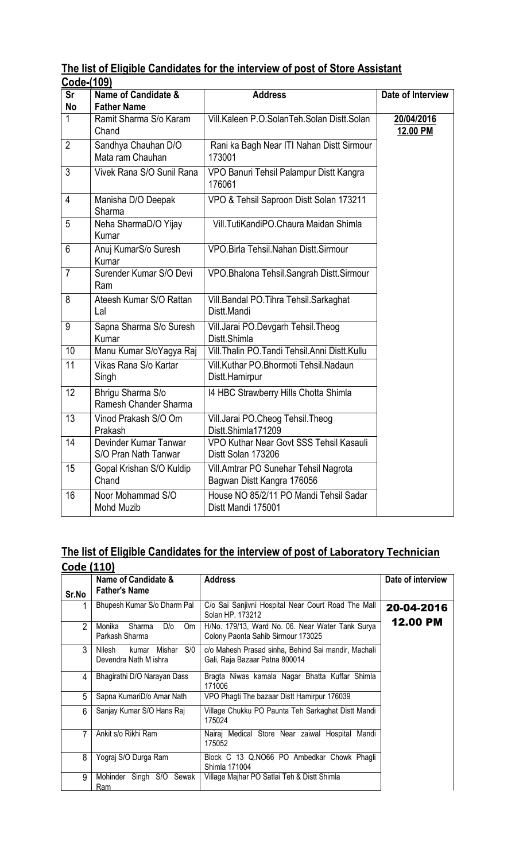| The list of Eligible Candidates for the interview of post of Store Assistant |  |  |  |  |
|------------------------------------------------------------------------------|--|--|--|--|
| Code-(109)                                                                   |  |  |  |  |

| 0006-1109      |                                               |                                                                     |                        |
|----------------|-----------------------------------------------|---------------------------------------------------------------------|------------------------|
| Sr             | Name of Candidate &                           | <b>Address</b>                                                      | Date of Interview      |
| No             | <b>Father Name</b>                            |                                                                     |                        |
| $\mathbf{1}$   | Ramit Sharma S/o Karam<br>Chand               | Vill.Kaleen P.O.SolanTeh.Solan Distt.Solan                          | 20/04/2016<br>12.00 PM |
| $\overline{2}$ | Sandhya Chauhan D/O<br>Mata ram Chauhan       | Rani ka Bagh Near ITI Nahan Distt Sirmour<br>173001                 |                        |
| 3              | Vivek Rana S/O Sunil Rana                     | VPO Banuri Tehsil Palampur Distt Kangra<br>176061                   |                        |
| $\overline{4}$ | Manisha D/O Deepak<br>Sharma                  | VPO & Tehsil Saproon Distt Solan 173211                             |                        |
| 5              | Neha SharmaD/O Yijay<br>Kumar                 | Vill.TutiKandiPO.Chaura Maidan Shimla                               |                        |
| 6              | Anuj KumarS/o Suresh<br>Kumar                 | VPO.Birla Tehsil.Nahan Distt.Sirmour                                |                        |
| $\overline{7}$ | Surender Kumar S/O Devi<br>Ram                | VPO. Bhalona Tehsil. Sangrah Distt. Sirmour                         |                        |
| 8              | Ateesh Kumar S/O Rattan<br>Lal                | Vill. Bandal PO. Tihra Tehsil. Sarkaghat<br>Distt.Mandi             |                        |
| 9              | Sapna Sharma S/o Suresh<br>Kumar              | Vill.Jarai PO.Devgarh Tehsil.Theog<br>Distt Shimla                  |                        |
| 10             | Manu Kumar S/oYagya Raj                       | Vill. Thalin PO. Tandi Tehsil. Anni Distt. Kullu                    |                        |
| 11             | Vikas Rana S/o Kartar<br>Singh                | Vill.Kuthar PO.Bhormoti Tehsil.Nadaun<br>Distt.Hamirpur             |                        |
| 12             | Bhrigu Sharma S/o<br>Ramesh Chander Sharma    | 14 HBC Strawberry Hills Chotta Shimla                               |                        |
| 13             | Vinod Prakash S/O Om<br>Prakash               | Vill.Jarai PO.Cheog Tehsil.Theog<br>Distt.Shimla171209              |                        |
| 14             | Devinder Kumar Tanwar<br>S/O Pran Nath Tanwar | VPO Kuthar Near Govt SSS Tehsil Kasauli<br>Distt Solan 173206       |                        |
| 15             | Gopal Krishan S/O Kuldip<br>Chand             | Vill.Amtrar PO Sunehar Tehsil Nagrota<br>Bagwan Distt Kangra 176056 |                        |
| 16             | Noor Mohammad S/O<br><b>Mohd Muzib</b>        | House NO 85/2/11 PO Mandi Tehsil Sadar<br>Distt Mandi 175001        |                        |

### The list of Eligible Candidates for the interview of post of Laboratory Technician

| Code (110)     |                                                           |                                                                                        |                   |
|----------------|-----------------------------------------------------------|----------------------------------------------------------------------------------------|-------------------|
| Sr.No          | Name of Candidate &<br><b>Father's Name</b>               | <b>Address</b>                                                                         | Date of interview |
|                | Bhupesh Kumar S/o Dharm Pal                               | C/o Sai Sanjivni Hospital Near Court Road The Mall<br>Solan HP, 173212                 | 20-04-2016        |
| $\overline{2}$ | Monika<br>D/O<br>Sharma<br>Om<br>Parkash Sharma           | H/No. 179/13, Ward No. 06. Near Water Tank Surya<br>Colony Paonta Sahib Sirmour 173025 | <b>12.00 PM</b>   |
| 3              | S/0<br>Nilesh<br>Mishar<br>kumar<br>Devendra Nath M ishra | c/o Mahesh Prasad sinha, Behind Sai mandir, Machali<br>Gali, Raja Bazaar Patna 800014  |                   |
| 4              | Bhagirathi D/O Narayan Dass                               | Bragta Niwas kamala Nagar Bhatta Kuffar Shimla<br>171006                               |                   |
| 5              | Sapna KumariD/o Amar Nath                                 | VPO Phagti The bazaar Distt Hamirpur 176039                                            |                   |
| 6              | Sanjay Kumar S/O Hans Raj                                 | Village Chukku PO Paunta Teh Sarkaghat Distt Mandi<br>175024                           |                   |
| 7              | Ankit s/o Rikhi Ram                                       | Nairaj Medical Store Near zaiwal Hospital Mandi<br>175052                              |                   |
| 8              | Yograj S/O Durga Ram                                      | Block C 13 Q.NO66 PO Ambedkar Chowk Phagli<br>Shimla 171004                            |                   |
| 9              | Mohinder Singh S/O Sewak<br>Ram                           | Village Majhar PO Satlai Teh & Distt Shimla                                            |                   |